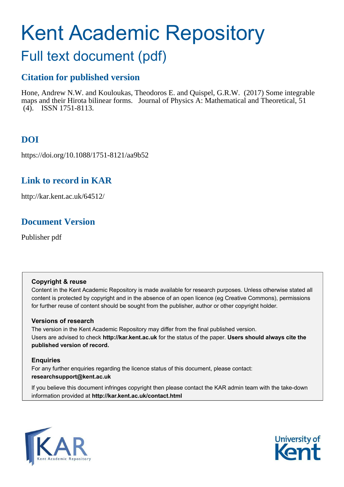# Kent Academic Repository

## Full text document (pdf)

## **Citation for published version**

Hone, Andrew N.W. and Kouloukas, Theodoros E. and Quispel, G.R.W. (2017) Some integrable maps and their Hirota bilinear forms. Journal of Physics A: Mathematical and Theoretical, 51 (4). ISSN 1751-8113.

## **DOI**

https://doi.org/10.1088/1751-8121/aa9b52

## **Link to record in KAR**

http://kar.kent.ac.uk/64512/

## **Document Version**

Publisher pdf

#### **Copyright & reuse**

Content in the Kent Academic Repository is made available for research purposes. Unless otherwise stated all content is protected by copyright and in the absence of an open licence (eg Creative Commons), permissions for further reuse of content should be sought from the publisher, author or other copyright holder.

#### **Versions of research**

The version in the Kent Academic Repository may differ from the final published version. Users are advised to check **http://kar.kent.ac.uk** for the status of the paper. **Users should always cite the published version of record.**

#### **Enquiries**

For any further enquiries regarding the licence status of this document, please contact: **researchsupport@kent.ac.uk**

If you believe this document infringes copyright then please contact the KAR admin team with the take-down information provided at **http://kar.kent.ac.uk/contact.html**



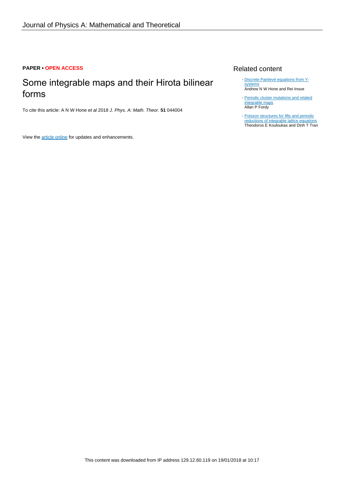#### **PAPER • OPEN ACCESS**

## Some integrable maps and their Hirota bilinear forms

To cite this article: A N W Hone et al 2018 J. Phys. A: Math. Theor. **51** 044004

<span id="page-1-3"></span><span id="page-1-2"></span><span id="page-1-1"></span><span id="page-1-0"></span>View the [article online](https://doi.org/10.1088/1751-8121/aa9b52) for updates and enhancements.

#### Related content

- [Discrete Painlevé equations from Y](http://iopscience.iop.org/article/10.1088/1751-8113/47/47/474007)**[systems](http://iopscience.iop.org/article/10.1088/1751-8113/47/47/474007)** Andrew N W Hone and Rei Inoue
- [Periodic cluster mutations and related](http://iopscience.iop.org/article/10.1088/1751-8113/47/47/474003) [integrable maps](http://iopscience.iop.org/article/10.1088/1751-8113/47/47/474003) Allan P Fordy
- [Poisson structures for lifts and periodic](http://iopscience.iop.org/article/10.1088/1751-8113/48/7/075202) [reductions of integrable lattice equations](http://iopscience.iop.org/article/10.1088/1751-8113/48/7/075202) Theodoros E Kouloukas and Dinh T Tran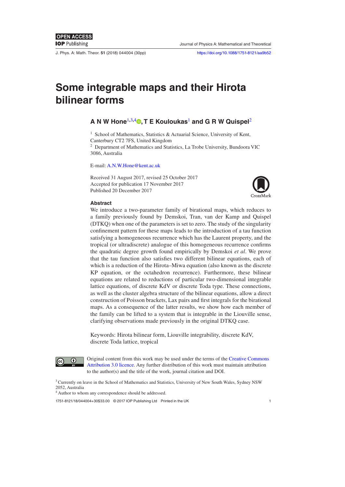J. Phys. A: Math. Theor. **51** (2018) 044004 [\(30p](#page-30-0)p) <https://doi.org/10.1088/1751-8121/aa9b52>

## **Some integrable maps and their Hirota bilinear forms**

#### <span id="page-2-0"></span>**A N W Hone**[1](#page-1-0)**,**[3](#page-1-1)**,**[4](#page-1-2) **[,](https://orcid.org/0000-0001-9780-7369) T E Kouloukas**[1](#page-1-0)  **and G R W Quispel**[2](#page-1-3)

<sup>1</sup> School of Mathematics, Statistics & Actuarial Science, University of Kent, Canterbury CT2 7FS, United Kingdom

<sup>2</sup> Department of Mathematics and Statistics, La Trobe University, Bundoora VIC 3086, Australia

E-mail: [A.N.W.Hone@kent.ac.uk](mailto:A.N.W.Hone@kent.ac.uk)

Received 31 August 2017, revised 25 October 2017 Accepted for publication 17 November 2017 Published 20 December 2017



#### **Abstract**

<span id="page-2-1"></span>We introduce a two-parameter family of birational maps, which reduces to a family previously found by Demskoi, Tran, van der Kamp and Quispel (DTKQ) when one of the parameters is set to zero. The study of the singularity confinement pattern for these maps leads to the introduction of a tau function satisfying a homogeneous recurrence which has the Laurent property, and the tropical (or ultradiscrete) analogue of this homogeneous recurrence conirms the quadratic degree growth found empirically by Demskoi *et al*. We prove that the tau function also satisies two different bilinear equations, each of which is a reduction of the Hirota–Miwa equation (also known as the discrete KP equation, or the octahedron recurrence). Furthermore, these bilinear equations are related to reductions of particular two-dimensional integrable lattice equations, of discrete KdV or discrete Toda type. These connections, as well as the cluster algebra structure of the bilinear equations, allow a direct construction of Poisson brackets, Lax pairs and irst integrals for the birational maps. As a consequence of the latter results, we show how each member of the family can be lifted to a system that is integrable in the Liouville sense, clarifying observations made previously in the original DTKQ case.

Keywords: Hirota bilinear form, Liouville integrability, discrete KdV, discrete Toda lattice, tropical



<span id="page-2-2"></span>Original content from this work may be used under the terms of the [Creative Commons](http://creativecommons.org/licenses/by/3.0)  [Attribution 3.0 licence](http://creativecommons.org/licenses/by/3.0). Any further distribution of this work must maintain attribution to the author(s) and the title of the work, journal citation and DOI.

<sup>3</sup> Currently on leave in the School of Mathematics and Statistics, University of New South Wales, Sydney NSW 2052, Australia

<sup>4</sup> Author to whom any correspondence should be addressed.

1751-8121/18/044004+[30](#page-30-0)\$33.00 © 2017 IOP Publishing Ltd Printed in the UK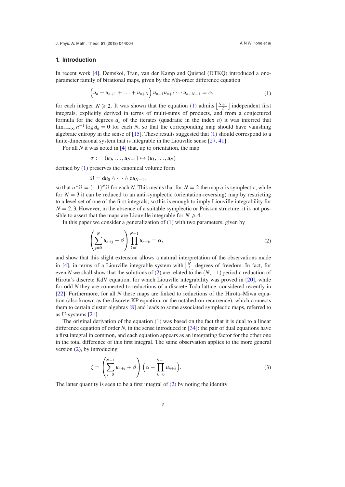#### **1. Introduction**

In recent work [\[4](#page-29-0)], Demskoi, Tran, van der Kamp and Quispel (DTKQ) introduced a oneparameter family of birational maps, given by the *N*th-order difference equation

$$
(u_n + u_{n+1} + \ldots + u_{n+N}) u_{n+1} u_{n+2} \cdots u_{n+N-1} = \alpha,
$$
 (1)

for each integer  $N \ge 2$ . It was shown that the equation [\(1](#page-2-0)) admits  $\left\lfloor \frac{N+1}{2} \right\rfloor$  independent first integrals, explicitly derived in terms of multi-sums of products, and from a conjectured formula for the degrees  $d_n$  of the iterates (quadratic in the index *n*) it was inferred that lim<sub>*n*→∞</sub>  $n^{-1}$  log  $d_n = 0$  for each *N*, so that the corresponding map should have vanishing algebraic entropy in the sense of  $[15]$  $[15]$ . These results suggested that  $(1)$  $(1)$  should correspond to a finite-dimensional system that is integrable in the Liouville sense  $[27, 41]$  $[27, 41]$  $[27, 41]$  $[27, 41]$ .

For all *N* it was noted in [\[4](#page-29-0)] that, up to orientation, the map

<span id="page-3-4"></span>
$$
\sigma: (u_0,\ldots,u_{N-1})\mapsto (u_1,\ldots,u_N)
$$

defined by  $(1)$  $(1)$  preserves the canonical volume form

<span id="page-3-1"></span><span id="page-3-0"></span>
$$
\Omega = du_0 \wedge \cdots \wedge du_{N-1},
$$

so that  $\sigma^* \Omega = (-1)^N \Omega$  for each *N*. This means that for  $N = 2$  the map  $\sigma$  is symplectic, while for  $N = 3$  it can be reduced to an anti-symplectic (orientation-reversing) map by restricting to a level set of one of the irst integrals; so this is enough to imply Liouville integrability for  $N = 2, 3$ . However, in the absence of a suitable symplectic or Poisson structure, it is not possible to assert that the maps are Liouville integrable for  $N \geq 4$ .

In this paper we consider a generalization of  $(1)$  $(1)$  with two parameters, given by

<span id="page-3-3"></span><span id="page-3-2"></span>
$$
\left(\sum_{j=0}^{N} u_{n+j} + \beta\right) \prod_{k=1}^{N-1} u_{n+k} = \alpha, \tag{2}
$$

and show that this slight extension allows a natural interpretation of the observations made in [[4\]](#page-29-0), in terms of a Liouville integrable system with  $\left\lfloor \frac{N}{2} \right\rfloor$  degrees of freedom. In fact, for even *N* we shall show that the solutions of [\(2](#page-2-1)) are related to the (*N*, −1) periodic reduction of Hirota's discrete KdV equation, for which Liouville integrability was proved in [[20\]](#page-29-2), while for odd *N* they are connected to reductions of a discrete Toda lattice, considered recently in [\[22](#page-29-3)]. Furthermore, for all *N* these maps are linked to reductions of the Hirota–Miwa equation (also known as the discrete KP equation, or the octahedron recurrence), which connects them to certain cluster algebras [\[8](#page-29-4)] and leads to some associated symplectic maps, referred to as U-systems [[21\]](#page-29-5).

The original derivation of the equation [\(1](#page-2-0)) was based on the fact that it is dual to a linear difference equation of order *N*, in the sense introduced in [[34\]](#page-30-3): the pair of dual equations have a first integral in common, and each equation appears as an integrating factor for the other one in the total difference of this irst integral. The same observation applies to the more general version [\(2](#page-2-1)), by introducing

$$
\zeta = \left(\sum_{j=0}^{N-1} u_{n+j} + \beta\right) \left(\alpha - \prod_{k=0}^{N-1} u_{n+k}\right).
$$
\n(3)

The latter quantity is seen to be a first integral of  $(2)$  $(2)$  by noting the identity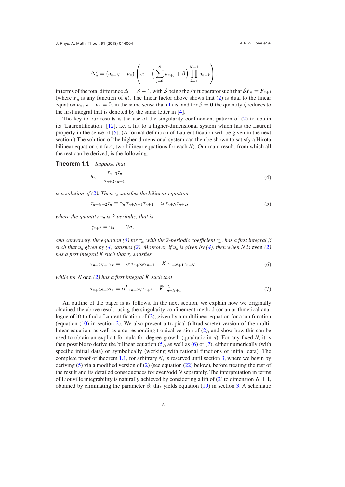$$
\Delta \zeta = (u_{n+N} - u_n) \left( \alpha - \left( \sum_{j=0}^N u_{n+j} + \beta \right) \prod_{k=1}^{N-1} u_{n+k} \right),
$$

in terms of the total difference  $\Delta = S - 1$ , with S being the shift operator such that  $SF_n = F_{n+1}$ (where  $F_n$  is any function of *n*). The linear factor above shows that ([2\)](#page-2-1) is dual to the linear equation  $u_{n+N} - u_n = 0$ , in the same sense that [\(1](#page-2-0)) is, and for  $\beta = 0$  the quantity  $\zeta$  reduces to the first integral that is denoted by the same letter in  $[4]$  $[4]$ .

The key to our results is the use of the singularity confinement pattern of ([2\)](#page-2-1) to obtain its 'Laurentiication' [\[12](#page-29-6)], i.e. a lift to a higher-dimensional system which has the Laurent property in the sense of  $[5]$  $[5]$ . (A formal definition of Laurentification will be given in the next section.) The solution of the higher-dimensional system can then be shown to satisfy a Hirota bilinear equation (in fact, two bilinear equations for each *N*). Our main result, from which all the rest can be derived, is the following.

**Theorem 1.1.** *Suppose that*

$$
u_n = \frac{\tau_{n+3}\tau_n}{\tau_{n+2}\tau_{n+1}}
$$
\n<sup>(4)</sup>

*is a solution of [\(2](#page-2-1)). Then*  $\tau_n$  *satisfies the bilinear equation* 

$$
\tau_{n+N+2}\tau_n = \gamma_n \,\tau_{n+N+1}\tau_{n+1} + \alpha \,\tau_{n+N}\tau_{n+2},\tag{5}
$$

*where the quantity*  $\gamma_n$  *is 2-periodic, that is* 

$$
\gamma_{n+2}=\gamma_n\qquad\forall n;
$$

*and conversely, the equation [\(5](#page-3-0)) for*  $\tau_n$ *, with the 2-periodic coefficient*  $\gamma_n$ *, has a first integral*  $\beta$ *such that u<sub>n</sub>* given by ([4\)](#page-3-1) satisfies [\(2](#page-2-1)). Moreover, if  $u_n$  is given by [\(4](#page-3-1)), then when N is even ([2\)](#page-2-1) *has a irst integral K such that* τ*n satisies*

$$
\tau_{n+2N+1}\tau_n = -\alpha \tau_{n+2N}\tau_{n+1} + K \tau_{n+N+1}\tau_{n+N},\tag{6}
$$

<span id="page-4-0"></span>*while for N* odd [\(2](#page-2-1)) has a first integral  $\bar{K}$  such that

<span id="page-4-1"></span>
$$
\tau_{n+2N+2}\tau_n = \alpha^2 \tau_{n+2N}\tau_{n+2} + \bar{K}\tau_{n+N+1}^2.
$$
\n(7)

An outline of the paper is as follows. In the next section, we explain how we originally obtained the above result, using the singularity coninement method (or an arithmetical analogue of it) to find a Laurentification of  $(2)$  $(2)$ , given by a multilinear equation for a tau function (equation [\(10](#page-6-0)) in section [2](#page-4-0)). We also present a tropical (ultradiscrete) version of the multilinear equation, as well as a corresponding tropical version of [\(2](#page-2-1)), and show how this can be used to obtain an explicit formula for degree growth (quadratic in *n*). For any ixed *N*, it is then possible to derive the bilinear equation  $(5)$  $(5)$ , as well as  $(6)$  $(6)$  or  $(7)$  $(7)$ , either numerically (with specific initial data) or symbolically (working with rational functions of initial data). The complete proof of theorem [1.1,](#page-3-4) for arbitrary *N*, is reserved until section [3](#page-10-0), where we begin by deriving ([5\)](#page-3-0) via a modified version of [\(2](#page-2-1)) (see equation ([22\)](#page-11-0) below), before treating the rest of the result and its detailed consequences for even/odd *N* separately. The interpretation in terms of Liouville integrability is naturally achieved by considering a lift of [\(2](#page-2-1)) to dimension  $N + 1$ , obtained by eliminating the parameter  $\beta$ : this yields equation ([19\)](#page-10-1) in section [3.](#page-10-0) A schematic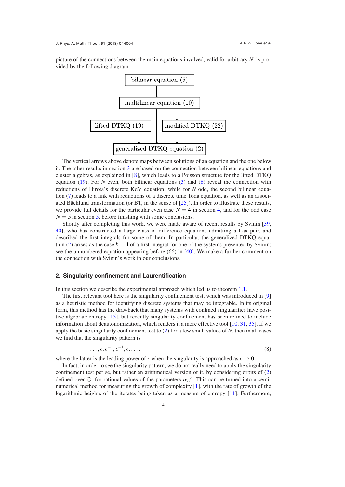picture of the connections between the main equations involved, valid for arbitrary *N*, is provided by the following diagram:



<span id="page-5-0"></span>The vertical arrows above denote maps between solutions of an equation and the one below it. The other results in section [3](#page-10-0) are based on the connection between bilinear equations and cluster algebras, as explained in [\[8](#page-29-4)], which leads to a Poisson structure for the lifted DTKQ equation $(19)$  $(19)$ . For *N* even, both bilinear equations  $(5)$  and  $(6)$  $(6)$  reveal the connection with reductions of Hirota's discrete KdV equation; while for *N* odd, the second bilinear equation ([7\)](#page-3-3) leads to a link with reductions of a discrete time Toda equation, as well as an associated Bäcklund transformation (or BT, in the sense of [\[25](#page-29-8)]). In order to illustrate these results, we provide full details for the particular even case  $N = 4$  in section [4,](#page-22-0) and for the odd case  $N = 5$  in section [5,](#page-24-0) before finishing with some conclusions.

Shortly after completing this work, we were made aware of recent results by Svinin [[39,](#page-30-4) [40](#page-30-5)], who has constructed a large class of difference equations admitting a Lax pair, and described the irst integrals for some of them. In particular, the generalized DTKQ equa-tion ([2\)](#page-2-1) arises as the case  $k = 1$  of a first integral for one of the systems presented by Svinin; see the unnumbered equation appearing before  $(66)$  in  $[40]$  $[40]$ . We make a further comment on the connection with Svinin's work in our conclusions.

#### **2. Singularity coninement and Laurentiication**

In this section we describe the experimental approach which led us to theorem [1.1](#page-3-4).

The first relevant tool here is the singularity confinement test, which was introduced in [[9\]](#page-29-9) as a heuristic method for identifying discrete systems that may be integrable. In its original form, this method has the drawback that many systems with conined singularities have positive algebraic entropy [\[15](#page-29-1)], but recently singularity coninement has been reined to include information about deautonomization, which renders it a more effective tool [[10,](#page-29-10) [31,](#page-30-6) [35](#page-30-7)]. If we apply the basic singularity confinement test to  $(2)$  $(2)$  for a few small values of *N*, then in all cases we find that the singularity pattern is

$$
\ldots, \epsilon, \epsilon^{-1}, \epsilon^{-1}, \epsilon, \ldots,\tag{8}
$$

where the latter is the leading power of  $\epsilon$  when the singularity is approached as  $\epsilon \to 0$ .

In fact, in order to see the singularity pattern, we do not really need to apply the singularity confinement test per se, but rather an arithmetical version of it, by considering orbits of  $(2)$  $(2)$ defined over  $\mathbb Q$ , for rational values of the parameters  $\alpha, \beta$ . This can be turned into a seminumerical method for measuring the growth of complexity [[1\]](#page-29-11), with the rate of growth of the logarithmic heights of the iterates being taken as a measure of entropy [\[11](#page-29-12)]. Furthermore,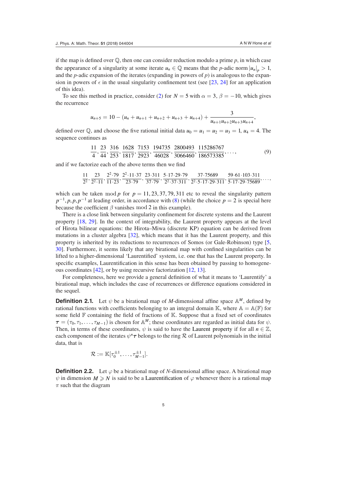if the map is defined over  $\mathbb{Q}$ , then one can consider reduction modulo a prime p, in which case the appearance of a singularity at some iterate  $u_n \in \mathbb{Q}$  means that the *p*-adic norm  $|u_n|_p > 1$ , and the *p*-adic expansion of the iterates (expanding in powers of *p*) is analogous to the expansion in powers of  $\epsilon$  in the usual singularity confinement test (see [[23,](#page-29-13) [24](#page-29-14)] for an application of this idea).

To see this method in practice, consider [\(2](#page-2-1)) for  $N = 5$  with  $\alpha = 3$ ,  $\beta = -10$ , which gives the recurrence

$$
u_{n+5} = 10 - (u_n + u_{n+1} + u_{n+2} + u_{n+3} + u_{n+4}) + \frac{3}{u_{n+1}u_{n+2}u_{n+3}u_{n+4}},
$$

defined over  $\mathbb{Q}$ , and choose the five rational initial data  $u_0 = u_1 = u_2 = u_3 = 1$ ,  $u_4 = 4$ . The sequence continues as

$$
\frac{11}{4}, \frac{23}{44}, \frac{316}{253}, \frac{1628}{1817}, \frac{7153}{2923}, \frac{194735}{46028}, \frac{2800493}{3066460}, \frac{115286767}{186573385}, \dots,
$$
(9)

and if we factorize each of the above terms then we find

<span id="page-6-0"></span>
$$
\frac{11}{2^2}, \frac{23}{2^2 \cdot 11}, \frac{2^2 \cdot 79}{11 \cdot 23}, \frac{2^2 \cdot 11 \cdot 37}{23 \cdot 79}, \frac{23 \cdot 311}{37 \cdot 79}, \frac{5 \cdot 17 \cdot 29 \cdot 79}{2^2 \cdot 37 \cdot 311}, \frac{37 \cdot 75689}{2^2 \cdot 5 \cdot 17 \cdot 29 \cdot 311}, \frac{59 \cdot 61 \cdot 103 \cdot 311}{5 \cdot 17 \cdot 29 \cdot 75689}, \ldots,
$$

which can be taken mod *p* for  $p = 11, 23, 37, 79, 311$  etc to reveal the singularity pattern  $p^{-1}$ , *p*, *p*,  $p^{-1}$  at leading order, in accordance with ([8\)](#page-4-1) (while the choice  $p = 2$  is special here because the coefficient  $\beta$  vanishes mod 2 in this example).

There is a close link between singularity coninement for discrete systems and the Laurent property [[18,](#page-29-15) [29](#page-30-8)]. In the context of integrability, the Laurent property appears at the level of Hirota bilinear equations: the Hirota–Miwa (discrete KP) equation can be derived from mutations in a cluster algebra [[32\]](#page-30-9), which means that it has the Laurent property, and this property is inherited by its reductions to recurrences of Somos (or Gale-Robinson) type [\[5,](#page-29-7) [30\]](#page-30-10). Furthermore, it seems likely that any birational map with conined singularities can be lifted to a higher-dimensional 'Laurentified' system, i.e. one that has the Laurent property. In specific examples, Laurentification in this sense has been obtained by passing to homogeneous coordinates [\[42](#page-30-11)], or by using recursive factorization [\[12](#page-29-6), [13](#page-29-16)].

For completeness, here we provide a general definition of what it means to 'Laurentify' a birational map, which includes the case of recurrences or difference equations considered in the sequel.

**Definition 2.1.** Let  $\psi$  be a birational map of *M*-dimensional affine space  $\mathbb{A}^M$ , defined by rational functions with coefficients belonging to an integral domain K, where  $A = A(F)$  for some field  $F$  containing the field of fractions of  $K$ . Suppose that a fixed set of coordinates  $\tau = (\tau_0, \tau_1, \dots, \tau_{M-1})$  is chosen for A<sup>M</sup>; these coordinates are regarded as initial data for  $\psi$ . Then, in terms of these coordinates,  $\psi$  is said to have the Laurent property if for all  $n \in \mathbb{Z}$ , each component of the iterates  $\psi^n \tau$  belongs to the ring  $\mathcal R$  of Laurent polynomials in the initial data, that is

$$
\mathcal{R}:=\mathbb{K}[\tau_0^{\pm 1},\ldots,\tau_{M-1}^{\pm 1}].
$$

**Definition 2.2.** Let  $\varphi$  be a birational map of *N*-dimensional affine space. A birational map  $\psi$  in dimension  $M \ge N$  is said to be a Laurentification of  $\varphi$  whenever there is a rational map  $\pi$  such that the diagram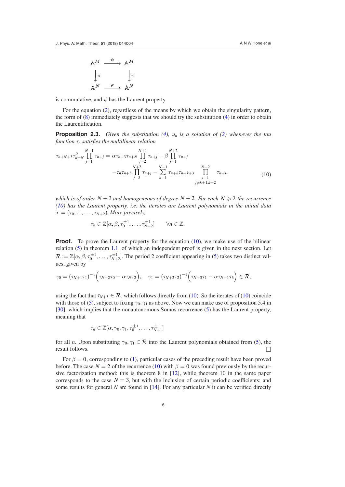<span id="page-7-1"></span>
$$
\begin{array}{ccc}\n\mathbb{A}^M & \xrightarrow{\psi} & \mathbb{A}^M \\
\downarrow \pi & & \downarrow \pi \\
\mathbb{A}^N & \xrightarrow{\varphi} & \mathbb{A}^N\n\end{array}
$$

is commutative, and *ψ* has the Laurent property.

For the equation ([2\)](#page-2-1), regardless of the means by which we obtain the singularity pattern, the form of ([8\)](#page-4-1) immediately suggests that we should try the substitution [\(4](#page-3-1)) in order to obtain the Laurentification.

**Proposition 2.3.** *Given the substitution ([4\)](#page-3-1),*  $u_n$  *is a solution of [\(2](#page-2-1)) whenever the tau function* τ*n satisies the multilinear relation*

<span id="page-7-2"></span>
$$
\tau_{n+N+3}\tau_{n+N}^2 \prod_{j=1}^{N-1} \tau_{n+j} = \alpha \tau_{n+3}\tau_{n+N} \prod_{j=2}^{N+1} \tau_{n+j} - \beta \prod_{j=1}^{N+2} \tau_{n+j}
$$
\n
$$
-\tau_n \tau_{n+3} \prod_{j=3}^{N+2} \tau_{n+j} - \sum_{k=1}^{N-1} \tau_{n+k}\tau_{n+k+3} \prod_{j=1}^{N+2} \tau_{n+j},
$$
\n(10)

*which is of order*  $N + 3$  *and homogeneous of degree*  $N + 2$ *. For each*  $N \ge 2$  *the recurrence [\(10](#page-6-0)) has the Laurent property, i.e. the iterates are Laurent polynomials in the initial data*   $\tau = (\tau_0, \tau_1, \ldots, \tau_{N+2})$ *. More precisely,* 

<span id="page-7-0"></span>
$$
\tau_n \in \mathbb{Z}[\alpha, \beta, \tau_0^{\pm 1}, \ldots, \tau_{N+2}^{\pm 1}] \qquad \forall n \in \mathbb{Z}.
$$

**Proof.** To prove the Laurent property for the equation ([10\)](#page-6-0), we make use of the bilinear relation [\(5](#page-3-0)) in theorem [1.1](#page-3-4), of which an independent proof is given in the next section. Let  $\mathcal{R} := \mathbb{Z}[\alpha, \beta, \tau_0^{\pm 1}, \dots, \tau_{N+2}^{\pm 1}]$ . The period 2 coefficient appearing in [\(5](#page-3-0)) takes two distinct values, given by

$$
\gamma_0 = (\tau_{N+1}\tau_1)^{-1} \Big(\tau_{N+2}\tau_0 - \alpha \tau_N \tau_2\Big), \quad \gamma_1 = (\tau_{N+2}\tau_2)^{-1} \Big(\tau_{N+3}\tau_1 - \alpha \tau_{N+1}\tau_3\Big) \in \mathcal{R},
$$

using the fact that  $\tau_{N+3} \in \mathcal{R}$ , which follows directly from [\(10](#page-6-0)). So the iterates of ([10\)](#page-6-0) coincide with those of [\(5](#page-3-0)), subject to fixing  $\gamma_0$ ,  $\gamma_1$  as above. Now we can make use of proposition 5.4 in [\[30](#page-30-10)], which implies that the nonautonomous Somos recurrence ([5\)](#page-3-0) has the Laurent property, meaning that

$$
\tau_n \in \mathbb{Z}[\alpha, \gamma_0, \gamma_1, \tau_0^{\pm 1}, \ldots, \tau_{N+1}^{\pm 1}]
$$

for all *n*. Upon substituting  $\gamma_0, \gamma_1 \in \mathcal{R}$  into the Laurent polynomials obtained from ([5\)](#page-3-0), the result follows. □

For  $\beta = 0$ , corresponding to ([1\)](#page-2-0), particular cases of the preceding result have been proved before. The case  $N = 2$  of the recurrence [\(10](#page-6-0)) with  $\beta = 0$  was found previously by the recursive factorization method: this is theorem 8 in [[12\]](#page-29-6), while theorem 10 in the same paper corresponds to the case  $N = 3$ , but with the inclusion of certain periodic coefficients; and some results for general *N* are found in [[14\]](#page-29-17). For any particular *N* it can be veriied directly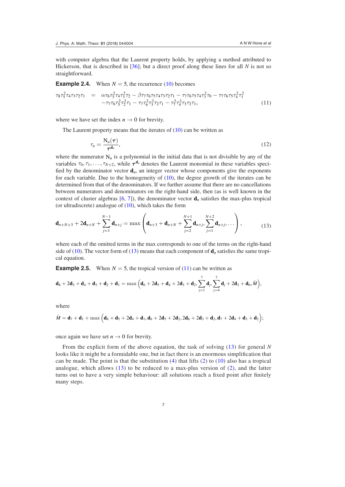<span id="page-8-1"></span>with computer algebra that the Laurent property holds, by applying a method attributed to Hickerson, that is described in [[36\]](#page-30-12); but a direct proof along these lines for all *N* is not so straightforward.

**Example 2.4.** When  $N = 5$ , the recurrence [\(10](#page-6-0)) becomes

$$
\tau_{8}\tau_{5}^{2}\tau_{4}\tau_{3}\tau_{2}\tau_{1} = \alpha\tau_{6}\tau_{5}^{2}\tau_{4}\tau_{3}^{2}\tau_{2} - \beta\tau_{7}\tau_{6}\tau_{5}\tau_{4}\tau_{3}\tau_{2}\tau_{1} - \tau_{7}\tau_{6}\tau_{5}\tau_{4}\tau_{3}^{2}\tau_{0} - \tau_{7}\tau_{6}\tau_{5}\tau_{4}^{2}\tau_{1}^{2} - \tau_{7}\tau_{6}\tau_{5}^{2}\tau_{2}^{2}\tau_{1} - \tau_{7}\tau_{6}^{2}\tau_{3}^{2}\tau_{2}\tau_{1} - \tau_{7}^{2}\tau_{4}^{2}\tau_{3}\tau_{2}\tau_{1}, \qquad (11)
$$

where we have set the index  $n \to 0$  for brevity.

The Laurent property means that the iterates of  $(10)$  $(10)$  can be written as

<span id="page-8-3"></span><span id="page-8-2"></span><span id="page-8-0"></span>
$$
\tau_n = \frac{N_n(\tau)}{\tau^{d_n}},\tag{12}
$$

where the numerator  $N_n$  is a polynomial in the initial data that is not divisible by any of the variables  $\tau_0, \tau_1, \ldots, \tau_{N+2}$ , while  $\tau^{d_n}$  denotes the Laurent monomial in these variables specified by the denominator vector  $\mathbf{d}_n$ , an integer vector whose components give the exponents for each variable. Due to the homogeneity of ([10\)](#page-6-0), the degree growth of the iterates can be determined from that of the denominators. If we further assume that there are no cancellations between numerators and denominators on the right-hand side, then (as is well known in the context of cluster algebras  $[6, 7]$  $[6, 7]$  $[6, 7]$  $[6, 7]$  $[6, 7]$ ), the denominator vector  $\mathbf{d}_n$  satisfies the max-plus tropical (or ultradiscrete) analogue of  $(10)$  $(10)$ , which takes the form

$$
\mathbf{d}_{n+N+3} + 2\mathbf{d}_{n+N} + \sum_{j=1}^{N-1} \mathbf{d}_{n+j} = \max \left( \mathbf{d}_{n+3} + \mathbf{d}_{n+N} + \sum_{j=2}^{N+1} \mathbf{d}_{n+j}, \sum_{j=1}^{N+2} \mathbf{d}_{n+j}, \dots \right), \tag{13}
$$

where each of the omitted terms in the max corresponds to one of the terms on the right-hand side of  $(10)$  $(10)$ . The vector form of  $(13)$  $(13)$  means that each component of  $\mathbf{d}_n$  satisfies the same tropical equation.

**Example 2.5.** When  $N = 5$ , the tropical version of [\(11](#page-7-1)) can be written as

$$
d_8+2d_5+d_4+d_3+d_2+d_1=\max\Big(d_6+2d_5+d_4+2d_3+d_2, \sum_{j=1}^7d_j, \sum_{j=4}^7d_j+2d_3+d_0, \hat{M}\Big),
$$

where

$$
\hat{M} = \mathbf{d}_7 + \mathbf{d}_1 + \max\left(\mathbf{d}_6 + \mathbf{d}_5 + 2\mathbf{d}_4 + \mathbf{d}_1, \mathbf{d}_6 + 2\mathbf{d}_5 + 2\mathbf{d}_2, 2\mathbf{d}_6 + 2\mathbf{d}_3 + \mathbf{d}_2, \mathbf{d}_7 + 2\mathbf{d}_4 + \mathbf{d}_3 + \mathbf{d}_2\right);
$$

once again we have set  $n \to 0$  for brevity.

From the explicit form of the above equation, the task of solving ([13](#page-7-0)) for general *N* looks like it might be a formidable one, but in fact there is an enormous simplification that can be made. The point is that the substitution  $(4)$  that lifts  $(2)$  to  $(10)$  also has a tropical analogue, which allows [\(13\)](#page-7-0) to be reduced to a max-plus version of ([2](#page-2-1)), and the latter turns out to have a very simple behaviour: all solutions reach a fixed point after finitely many steps.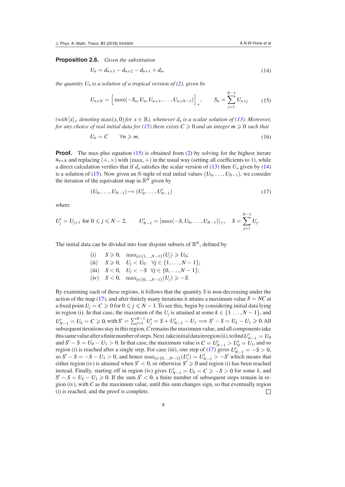**Proposition 2.6.** *Given the substitution*

$$
U_n = d_{n+3} - d_{n+2} - d_{n+1} + d_n, \tag{14}
$$

*the quantity U<sub>n</sub> is a solution of a tropical version of ([2\)](#page-2-1), given by* 

<span id="page-9-0"></span>
$$
U_{n+N} = \left[ \max(-S_n, U_n, U_{n+1}, \dots, U_{n+N-1}) \right]_+, \qquad S_n = \sum_{j=1}^{N-1} U_{n+j} \qquad (15)
$$

*(with*  $[x]_+$  *denoting*  $\max(x, 0)$  *for*  $x \in \mathbb{R}$ *), whenever d<sub>n</sub> is a scalar solution of [\(13](#page-7-0)). Moreover, for any choice of real initial data for [\(15](#page-8-0)) there exists*  $C \ge 0$  *and an integer*  $m \ge 0$  *such that* 

$$
U_n = C \qquad \forall n \geqslant m. \tag{16}
$$

**Proof.** The max-plus equation ([15\)](#page-8-0) is obtained from ([2\)](#page-2-1) by solving for the highest iterate  $u_{n+N}$  and replacing  $(+, \times)$  with  $(\text{max}, +)$  in the usual way (setting all coefficients to 1), while a direct calculation verifies that if  $d_n$  satisfies the scalar version of [\(13](#page-7-0)) then  $U_n$  given by ([14\)](#page-8-1) is a solution of [\(15](#page-8-0)). Now given an *N*-tuple of real initial values  $(U_0, \ldots, U_{N-1})$ , we consider the iteration of the equivalent map in  $\mathbb{R}^N$  given by

$$
(U_0, \ldots, U_{N-1}) \mapsto (U'_0, \ldots, U'_{N-1})
$$
\n(17)

where

$$
U'_{j} = U_{j+1} \text{ for } 0 \leqslant j \leqslant N-2, \qquad U'_{N-1} = [\max(-S, U_0, \ldots, U_{N-1})]_{+}, \quad S = \sum_{j=1}^{N-1} U_j.
$$

The initial data can be divided into four disjoint subsets of  $\mathbb{R}^N$ , defined by

(i) *S* ≥ 0, max<sub>*j*∈{1,...,*N*−1}(*U<sub>j</sub>*) ≥ *U*<sub>0</sub>;</sub> (ii)  $S \ge 0$ ,  $U_j < U_0$   $\forall j \in \{1, ..., N-1\};$ (iii)  $S < 0$ ,  $U_j < -S$   $\forall j \in \{0, ..., N-1\};$ (iv) *S* < 0, max<sub>*j*∈{0,...,*N*−1}</sub>(*U<sub>j</sub>*) ≥ −*S*.

By examining each of these regions, it follows that the quantity *S* is non-decreasing under the action of the map ([17\)](#page-8-2), and after finitely many iterations it attains a maximum value  $S = NC$  at a fixed point  $U_i = C \ge 0$  for  $0 \le j \le N - 1$ . To see this, begin by considering initial data lying in region (i). In that case, the maximum of the  $U_j$  is attained at some  $k \in \{1, ..., N-1\}$ , and  $U'_{N-1} = U_k = C \ge 0$ , with  $S' = \sum_{j=1}^{N-1} U'_j = S + U'_{N-1} - U_1 \Longrightarrow S' - S = U_k - U_1 \ge 0$ . All subsequent iterations stay in this region, *C* remains the maximum value, and all components take this same value after a finite number of steps. Next, take initial data in region (ii), to find  $U'_{N-1} = U_0$ and  $S' - S = U_0 - U_1 > 0$ . In that case, the maximum value is  $C = U'_{N-1} > U'_0 = U_1$ , and so region (i) is reached after a single step. For case (iii), one step of [\(17](#page-8-2)) gives  $U'_{N-1} = -S > 0$ , so  $S' - S = -S - U_1 > 0$ , and hence  $\max_{j \in \{0, ..., N-1\}} (U'_j) = U'_{N-1} > -S'$  which means that either region (iv) is attained when  $S' < 0$ , or otherwise  $S' \ge 0$  and region (i) has been reached instead. Finally, starting off in region (iv) gives  $U'_{N-1} = U_k = C \ge -S > 0$  for some *k*, and  $S' - S = U_k - U_1 \geq 0$ . If the sum  $S' < 0$ , a finite number of subsequent steps remain in region (iv), with *C* as the maximum value, until this sum changes sign, so that eventually region (i) is reached, and the proof is complete.  $\Box$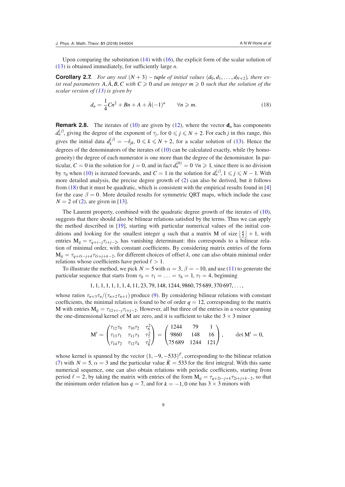Upon comparing the substitution  $(14)$  $(14)$  with  $(16)$  $(16)$ , the explicit form of the scalar solution of [\(13](#page-7-0)) is obtained immediately, for suficiently large *n*.

**Corollary 2.7.** *For any real*  $(N + 3)$  – *tuple of initial values*  $(d_0, d_1, \ldots, d_{N+2})$ *, there exist real parameters A*,  $\overline{A}$ ,  $\overline{B}$ ,  $C$  *with*  $C \ge 0$  *and an integer m*  $\ge 0$  *such that the solution of the scalar version of ([13\)](#page-7-0) is given by*

$$
d_n = \frac{1}{4}Cn^2 + Bn + A + \bar{A}(-1)^n \qquad \forall n \geq m.
$$
 (18)

**Remark 2.8.** The iterates of ([10\)](#page-6-0) are given by [\(12](#page-7-2)), where the vector  $\mathbf{d}_n$  has components  $d_n^{(j)}$ , giving the degree of the exponent of  $\tau_j$ , for  $0 \leq j \leq N+2$ . For each *j* in this range, this gives the initial data  $d_k^{(j)} = -\delta_{jk}$ ,  $0 \le k \le N + 2$ , for a scalar solution of ([13\)](#page-7-0). Hence the degrees of the denominators of the iterates of  $(10)$  $(10)$  can be calculated exactly, while (by homogeneity) the degree of each numerator is one more than the degree of the denominator. In particular,  $C = 0$  in the solution for  $j = 0$ , and in fact  $d_n^{(0)} = 0 \ \forall n \ge 1$ , since there is no division by  $\tau_0$  when [\(10](#page-6-0)) is iterated forwards, and  $C = 1$  in the solution for  $d_n^{(j)}$ ,  $1 \leq j \leq N - 1$ . With more detailed analysis, the precise degree growth of ([2\)](#page-2-1) can also be derived, but it follows from [\(18](#page-9-0)) that it must be quadratic, which is consistent with the empirical results found in [[4\]](#page-29-0) for the case  $\beta = 0$ . More detailed results for symmetric ORT maps, which include the case  $N = 2$  of ([2\)](#page-2-1), are given in [[13\]](#page-29-16).

<span id="page-10-0"></span>The Laurent property, combined with the quadratic degree growth of the iterates of [\(10](#page-6-0)), suggests that there should also be bilinear relations satisied by the terms. Thus we can apply the method described in [\[19](#page-29-20)], starting with particular numerical values of the initial conditions and looking for the smallest integer q such that a matrix M of size  $\frac{q}{2}$  $\frac{q}{2}$  + 1, with entries  $M_{ij} = \tau_{q+i-j}\tau_{i+j-2}$ , has vanishing determinant: this corresponds to a bilinear relation of minimal order, with constant coeficients. By considering matrix entries of the form  $M_{ij} = \tau_{q+\ell i-j+k} \tau_{\ell i+j+k-2}$ , for different choices of offset *k*, one can also obtain minimal order relations whose coefficients have period  $\ell > 1$ .

To illustrate the method, we pick  $N = 5$  with  $\alpha = 3$ ,  $\beta = -10$ , and use [\(11](#page-7-1)) to generate the particular sequence that starts from  $\tau_0 = \tau_1 = \ldots = \tau_6 = 1, \tau_7 = 4$ , beginning

<span id="page-10-1"></span> $1, 1, 1, 1, 1, 1, 1, 4, 11, 23, 79, 148, 1244, 9860, 75689, 370697, \ldots$ 

whose ratios  $\tau_{n+3} \tau_n/(\tau_{n+2} \tau_{n+1})$  produce [\(9](#page-5-0)). By considering bilinear relations with constant coefficients, the minimal relation is found to be of order  $q = 12$ , corresponding to the matrix M with entries  $M_{ij} = \tau_{12+i-j}\tau_{i+j-2}$ . However, all but three of the entries in a vector spanning the one-dimensional kernel of M are zero, and it is sufficient to take the  $3 \times 3$  minor

<span id="page-10-3"></span><span id="page-10-2"></span>
$$
M' = \begin{pmatrix} \tau_{12}\tau_0 & \tau_{10}\tau_2 & \tau_6^2 \\ \tau_{13}\tau_1 & \tau_{11}\tau_3 & \tau_7^2 \\ \tau_{14}\tau_2 & \tau_{12}\tau_4 & \tau_8^2 \end{pmatrix} = \begin{pmatrix} 1244 & 79 & 1 \\ 9860 & 148 & 16 \\ 75689 & 1244 & 121 \end{pmatrix}, \text{ det } M' = 0,
$$

whose kernel is spanned by the vector  $(1, -9, -533)^T$ , corresponding to the bilinear relation [\(7](#page-3-3)) with  $N = 5$ ,  $\alpha = 3$  and the particular value  $\bar{K} = 533$  for the first integral. With this same numerical sequence, one can also obtain relations with periodic coeficients, starting from period  $\ell = 2$ , by taking the matrix with entries of the form  $M_{ij} = \tau_{q+2i-j+k} \tau_{2i+j+k-2}$ , so that the minimum order relation has  $q = 7$ , and for  $k = -1, 0$  one has  $3 \times 3$  minors with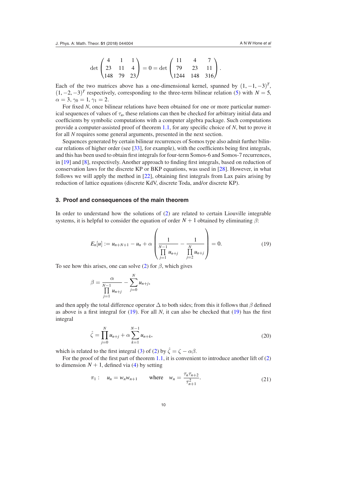<span id="page-11-0"></span>
$$
\det\begin{pmatrix} 4 & 1 & 1 \\ 23 & 11 & 4 \\ 148 & 79 & 23 \end{pmatrix} = 0 = \det\begin{pmatrix} 11 & 4 & 7 \\ 79 & 23 & 11 \\ 1244 & 148 & 316 \end{pmatrix}.
$$

Each of the two matrices above has a one-dimensional kernel, spanned by  $(1, -1, -3)^T$ ,  $(1, -2, -3)^T$  respectively, corresponding to the three-term bilinear relation ([5\)](#page-3-0) with  $N = 5$ ,  $\alpha = 3, \gamma_0 = 1, \gamma_1 = 2.$ 

For fixed *N*, once bilinear relations have been obtained for one or more particular numerical sequences of values of  $\tau_n$ , these relations can then be checked for arbitrary initial data and coeficients by symbolic computations with a computer algebra package. Such computations provide a computer-assisted proof of theorem [1.1,](#page-3-4) for any speciic choice of *N*, but to prove it for all *N* requires some general arguments, presented in the next section.

<span id="page-11-2"></span>Sequences generated by certain bilinear recurrences of Somos type also admit further bilin-ear relations of higher order (see [\[33](#page-30-13)], for example), with the coefficients being first integrals, and this has been used to obtain irst integrals for four-term Somos-6 and Somos-7 recurrences, in [\[19](#page-29-20)] and [\[8](#page-29-4)], respectively. Another approach to finding first integrals, based on reduction of conservation laws for the discrete KP or BKP equations, was used in [[28\]](#page-30-14). However, in what follows we will apply the method in [\[22](#page-29-3)], obtaining irst integrals from Lax pairs arising by reduction of lattice equations (discrete KdV, discrete Toda, and/or discrete KP).

#### **3. Proof and consequences of the main theorem**

In order to understand how the solutions of [\(2](#page-2-1)) are related to certain Liouville integrable systems, it is helpful to consider the equation of order  $N + 1$  obtained by eliminating  $\beta$ :

 $\overline{ }$ 

$$
E_n[u] := u_{n+N+1} - u_n + \alpha \left( \frac{1}{\prod_{j=1}^{N-1} u_{n+j}} - \frac{1}{\prod_{j=2}^N u_{n+j}} \right) = 0.
$$
 (19)

To see how this arises, one can solve [\(2](#page-2-1)) for  $\beta$ , which gives

<span id="page-11-1"></span>*N*

$$
\beta = \frac{\alpha}{\prod\limits_{j=1}^{N-1}u_{n+j}} - \sum\limits_{j=0}^N u_{n+j},
$$

and then apply the total difference operator  $\Delta$  to both sides; from this it follows that  $\beta$  defined as above is a first integral for  $(19)$  $(19)$ . For all *N*, it can also be checked that  $(19)$  has the first integral

<span id="page-11-4"></span>
$$
\hat{\zeta} = \prod_{j=0}^{N} u_{n+j} + \alpha \sum_{k=1}^{N-1} u_{n+k},
$$
\n(20)

which is related to the first integral [\(3](#page-2-2)) of [\(2](#page-2-1)) by  $\hat{\zeta} = \zeta - \alpha \beta$ .

For the proof of the first part of theorem [1.1,](#page-3-4) it is convenient to introduce another lift of  $(2)$  $(2)$ to dimension  $N + 1$ , defined via [\(4](#page-3-1)) by setting

<span id="page-11-3"></span>
$$
\pi_1: \quad u_n = w_n w_{n+1} \quad \text{where} \quad w_n = \frac{\tau_n \tau_{n+2}}{\tau_{n+1}^2}.
$$
\n(21)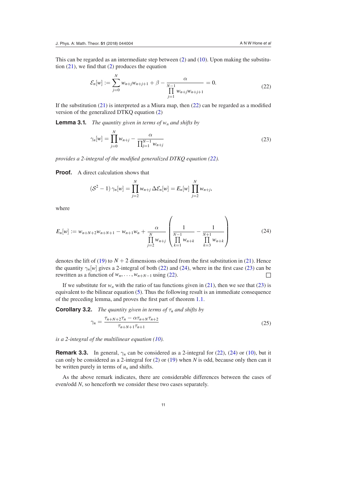This can be regarded as an intermediate step between [\(2](#page-2-1)) and [\(10](#page-6-0)). Upon making the substitution  $(21)$  $(21)$ , we find that  $(2)$  $(2)$  produces the equation

<span id="page-12-2"></span>
$$
\mathcal{E}_n[w] := \sum_{j=0}^N w_{n+j} w_{n+j+1} + \beta - \frac{\alpha}{\prod_{j=1}^{N-1} w_{n+j} w_{n+j+1}} = 0.
$$
\n(22)

If the substitution  $(21)$  $(21)$  is interpreted as a Miura map, then  $(22)$  $(22)$  can be regarded as a modified version of the generalized DTKQ equation [\(2](#page-2-1))

**Lemma 3.1.** *The quantity given in terms of*  $w_n$  *and shifts by* 

<span id="page-12-0"></span>
$$
\gamma_n[w] = \prod_{j=0}^N w_{n+j} - \frac{\alpha}{\prod_{j=1}^{N-1} w_{n+j}}
$$
\n(23)

*provides a 2-integral of the modiied generalized DTKQ equation ([22\)](#page-11-0).*

**Proof.** A direct calculation shows that

<span id="page-12-1"></span>
$$
(\mathcal{S}^2 - 1) \gamma_n[w] = \prod_{j=2}^N w_{n+j} \Delta \mathcal{E}_n[w] = E_n[w] \prod_{j=2}^N w_{n+j},
$$

where

$$
E_n[w] := w_{n+N+2}w_{n+N+1} - w_{n+1}w_n + \frac{\alpha}{\prod_{j=2}^N w_{n+j}} \left( \frac{1}{\prod_{k=1}^{N-1} w_{n+k}} - \frac{1}{\prod_{k=3}^{N+1} w_{n+k}} \right)
$$
(24)

denotes the lift of ([19\)](#page-10-1) to  $N + 2$  dimensions obtained from the first substitution in [\(21](#page-10-2)). Hence the quantity  $\gamma_n[w]$  gives a 2-integral of both ([22\)](#page-11-0) and [\(24](#page-11-1)), where in the first case ([23\)](#page-11-2) can be rewritten as a function of  $w_n$ , ...,  $w_{n+N-1}$  using ([22\)](#page-11-0).

If we substitute for  $w_n$  with the ratio of tau functions given in [\(21](#page-10-2)), then we see that ([23\)](#page-11-2) is equivalent to the bilinear equation  $(5)$  $(5)$ . Thus the following result is an immediate consequence of the preceding lemma, and proves the irst part of theorem [1.1.](#page-3-4)

**Corollary 3.2.** *The quantity given in terms of*  $\tau_n$  *and shifts by* 

<span id="page-12-4"></span><span id="page-12-3"></span>
$$
\gamma_n = \frac{\tau_{n+N+2}\tau_n - \alpha \tau_{n+N}\tau_{n+2}}{\tau_{n+N+1}\tau_{n+1}}
$$
\n(25)

*is a 2-integral of the multilinear equation [\(10](#page-6-0)).*

**Remark 3.3.** In general,  $\gamma_n$  can be considered as a 2-integral for ([22\)](#page-11-0), ([24\)](#page-11-1) or ([10\)](#page-6-0), but it can only be considered as a 2-integral for ([2\)](#page-2-1) or ([19\)](#page-10-1) when *N* is odd, because only then can it be written purely in terms of  $u_n$  and shifts.

As the above remark indicates, there are considerable differences between the cases of even/odd *N*, so henceforth we consider these two cases separately.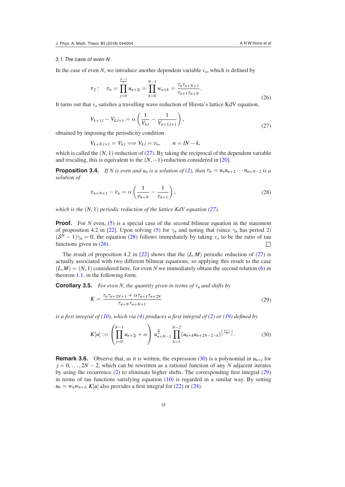#### 3.1. The case of even N

In the case of even *N*, we introduce another dependent variable  $v_n$ , which is defined by

$$
\pi_2: \quad v_n = \prod_{j=0}^{\frac{n-2}{2}} u_{n+2j} = \prod_{k=0}^{N-1} w_{n+k} = \frac{\tau_n \tau_{n+N+1}}{\tau_{n+1} \tau_{n+N}}.
$$
\n(26)

It turns out that  $v_n$  satisfies a travelling wave reduction of Hirota's lattice KdV equation,

<span id="page-13-0"></span>
$$
V_{k+1,l} - V_{k,l+1} = \alpha \left( \frac{1}{V_{k,l}} - \frac{1}{V_{k+1,l+1}} \right),\tag{27}
$$

obtained by imposing the periodicity condition

*N*−2

<span id="page-13-3"></span>
$$
V_{k+N,l+1} = V_{k,l} \Longrightarrow V_{k,l} = v_n, \qquad n = lN - k,
$$

which is called the  $(N, 1)$ -reduction of  $(27)$  $(27)$ . By taking the reciprocal of the dependent variable and rescaling, this is equivalent to the  $(N, -1)$ -reduction considered in [[20\]](#page-29-2).

**Proposition 3.4.** *If N is even and u<sub>n</sub> is a solution of ([2\)](#page-2-1), then*  $v_n = u_n u_{n+2} \cdots u_{n+N-2}$  *is a solution of*

<span id="page-13-1"></span>
$$
v_{n+N+1} - v_n = \alpha \left( \frac{1}{v_{n+N}} - \frac{1}{v_{n+1}} \right),
$$
\n(28)

*which is the* (*N*, 1) *periodic reduction of the lattice KdV equation ([27\)](#page-12-0).*

**Proof.** For *N* even, [\(5](#page-3-0)) is a special case of the second bilinear equation in the statement of proposition 4.2 in [[22\]](#page-29-3). Upon solving ([5\)](#page-3-0) for  $\gamma_n$  and noting that (since  $\gamma_n$  has period 2)  $(S<sup>N</sup> - 1)\gamma_n = 0$ , the equation [\(28](#page-12-1)) follows immediately by taking  $v_n$  to be the ratio of tau functions given in ([26\)](#page-12-2).  $\Box$ 

The result of proposition 4.2 in [[22\]](#page-29-3) shows that the  $(L, M)$  periodic reduction of ([27\)](#page-12-0) is actually associated with two different bilinear equations, so applying this result to the case  $(L, M) = (N, 1)$  considered here, for even *N* we immediately obtain the second relation [\(6](#page-3-2)) in theorem [1.1,](#page-3-4) in the following form.

**Corollary 3.5.** *For even N, the quantity given in terms of*  $\tau_n$  *and shifts by* 

<span id="page-13-4"></span><span id="page-13-2"></span>
$$
K = \frac{\tau_n \tau_{n+2N+1} + \alpha \tau_{n+1} \tau_{n+2N}}{\tau_{n+N} \tau_{n+N+1}}
$$
(29)

*is a first integral of ([10\)](#page-6-0), which via [\(4](#page-3-1)) produces a first integral of ([2\)](#page-2-1) or [\(19](#page-10-1)) defined by* 

<span id="page-13-5"></span>
$$
K[u] := \left(\prod_{j=0}^{N-1} u_{n+2j} + \alpha\right) u_{n+N-1}^{\frac{N}{2}} \prod_{k=1}^{N-2} (u_{n+k}u_{n+2N-2-k})^{\left\lfloor \frac{k+1}{2} \right\rfloor}.
$$
 (30)

**Remark 3.6.** Observe that, as it is written, the expression ([30\)](#page-12-3) is a polynomial in  $u_{n+j}$  for  $j = 0, \ldots, 2N - 2$ , which can be rewritten as a rational function of any *N* adjacent iterates by using the recurrence [\(2](#page-2-1)) to eliminate higher shifts. The corresponding irst integral ([29\)](#page-12-4) in terms of tau functions satisfying equation  $(10)$  $(10)$  is regarded in a similar way. By setting  $u_n = w_n w_{n+1}$ ,  $K[u]$  also provides a first integral for [\(22](#page-11-0)) or [\(24](#page-11-1)).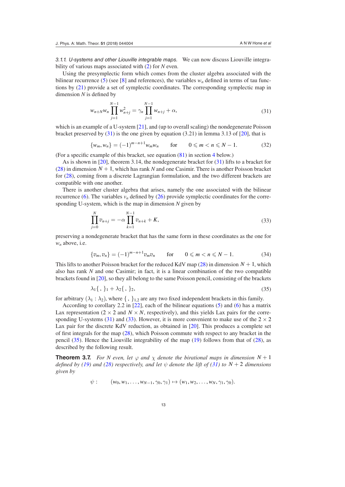3.1.1. U-systems and other Liouville integrable maps. We can now discuss Liouville integrability of various maps associated with ([2\)](#page-2-1) for *N* even.

Using the presymplectic form which comes from the cluster algebra associated with the bilinear recurrence [\(5](#page-3-0)) (see [\[8](#page-29-4)] and references), the variables  $w<sub>n</sub>$  defined in terms of tau functions by ([21\)](#page-10-2) provide a set of symplectic coordinates. The corresponding symplectic map in dimension  $N$  is defined by

$$
w_{n+N}w_n \prod_{j=1}^{N-1} w_{n+j}^2 = \gamma_n \prod_{j=1}^{N-1} w_{n+j} + \alpha,
$$
\n(31)

which is an example of a U-system [\[21](#page-29-5)], and (up to overall scaling) the nondegenerate Poisson bracket preserved by ([31\)](#page-13-0) is the one given by equation (3.21) in lemma 3.13 of [\[20](#page-29-2)], that is

<span id="page-14-1"></span><span id="page-14-0"></span>
$$
\{w_m, w_n\} = (-1)^{m-n+1} w_m w_n \quad \text{for} \quad 0 \leq m < n \leq N-1. \tag{32}
$$

(For a specific example of this bracket, see equation  $(81)$  $(81)$  in section [4](#page-22-0) below.)

As is shown in [[20\]](#page-29-2), theorem 3.14, the nondegenerate bracket for [\(31](#page-13-0)) lifts to a bracket for [\(28](#page-12-1)) in dimension  $N + 1$ , which has rank N and one Casimir. There is another Poisson bracket for [\(28](#page-12-1)), coming from a discrete Lagrangian formulation, and the two different brackets are compatible with one another.

There is another cluster algebra that arises, namely the one associated with the bilinear recurrence [\(6](#page-3-2)). The variables  $v_n$  defined by ([26\)](#page-12-2) provide symplectic coordinates for the corresponding U-system, which is the map in dimension *N* given by

$$
\prod_{j=0}^{N} v_{n+j} = -\alpha \prod_{k=1}^{N-1} v_{n+k} + K,
$$
\n(33)

preserving a nondegenerate bracket that has the same form in these coordinates as the one for  $w_n$  above, i.e.

$$
\{v_m, v_n\} = (-1)^{m-n+1} v_m v_n \quad \text{for} \quad 0 \le m < n \le N-1. \tag{34}
$$

This lifts to another Poisson bracket for the reduced KdV map  $(28)$  $(28)$  in dimension  $N + 1$ , which also has rank *N* and one Casimir; in fact, it is a linear combination of the two compatible brackets found in [[20\]](#page-29-2), so they all belong to the same Poisson pencil, consisting of the brackets

$$
\lambda_1 \{ \, , \, \}_{1} + \lambda_2 \{ \, , \, \}_{2}, \tag{35}
$$

for arbitrary  $(\lambda_1 : \lambda_2)$ , where  $\{\, ,\, \}_{1,2}$  are any two fixed independent brackets in this family.

According to corollary 2.2 in [[22\]](#page-29-3), each of the bilinear equations ([5\)](#page-3-0) and [\(6](#page-3-2)) has a matrix Lax representation  $(2 \times 2$  and  $N \times N$ , respectively), and this yields Lax pairs for the corre-sponding U-systems [\(31](#page-13-0)) and ([33\)](#page-13-1). However, it is more convenient to make use of the  $2 \times 2$ Lax pair for the discrete KdV reduction, as obtained in [\[20](#page-29-2)]. This produces a complete set of first integrals for the map  $(28)$  $(28)$ , which Poisson commute with respect to any bracket in the pencil [\(35](#page-13-2)). Hence the Liouville integrability of the map [\(19](#page-10-1)) follows from that of [\(28](#page-12-1)), as described by the following result.

**Theorem 3.7.** *For N even, let*  $\varphi$  *and*  $\chi$  *denote the birational maps in dimension*  $N + 1$ *defined by [\(19](#page-10-1)) and [\(28](#page-12-1)) respectively, and let*  $\psi$  *denote the lift of [\(31](#page-13-0)) to*  $N + 2$  *dimensions given by*

$$
\psi
$$
:  $(w_0, w_1, \ldots, w_{N-1}, \gamma_0, \gamma_1) \mapsto (w_1, w_2, \ldots, w_N, \gamma_1, \gamma_0).$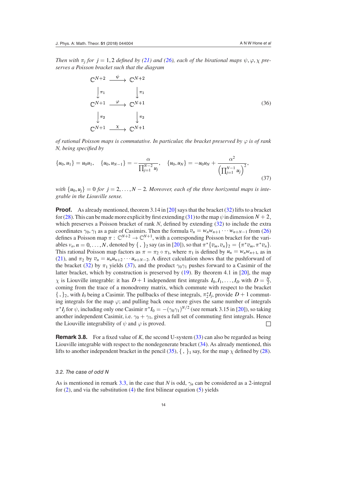*Then with*  $\pi_j$  *for*  $j = 1, 2$  *defined by [\(21](#page-10-2)) and [\(26](#page-12-2)), each of the birational maps*  $\psi, \varphi, \chi$  *preserves a Poisson bracket such that the diagram*

<span id="page-15-1"></span><span id="page-15-0"></span>
$$
\begin{array}{ccc}\n\mathbb{C}^{N+2} & \xrightarrow{\psi} & \mathbb{C}^{N+2} \\
\downarrow \pi_1 & & \downarrow \pi_1 \\
\mathbb{C}^{N+1} & \xrightarrow{\varphi} & \mathbb{C}^{N+1} \\
\downarrow \pi_2 & & \downarrow \pi_2 \\
\mathbb{C}^{N+1} & \xrightarrow{\chi} & \mathbb{C}^{N+1}\n\end{array} \tag{36}
$$

*of rational Poisson maps is commutative. In particular, the bracket preserved by*  $\varphi$  *is of rank N, being speciied by*

$$
\{u_0, u_1\} = u_0 u_1, \quad \{u_0, u_{N-1}\} = -\frac{\alpha}{\prod_{j=1}^{N-2} u_j}, \quad \{u_0, u_N\} = -u_0 u_N + \frac{\alpha^2}{\left(\prod_{j=1}^{N-1} u_j\right)^2},\tag{37}
$$

*with*  $\{u_0, u_i\} = 0$  *for*  $j = 2, \ldots, N-2$ *. Moreover, each of the three horizontal maps is integrable in the Liouville sense.*

<span id="page-15-3"></span>**Proof.** As already mentioned, theorem 3.14 in [\[20](#page-29-2)] says that the bracket [\(32](#page-13-3)) lifts to a bracket for [\(28](#page-12-1)). This can be made more explicit by first extending [\(31](#page-13-0)) to the map  $\psi$  in dimension  $N + 2$ , which preserves a Poisson bracket of rank *N*, defined by extending [\(32](#page-13-3)) to include the extra coordinates  $\gamma_0$ ,  $\gamma_1$  as a pair of Casimirs. Then the formula  $v_n = w_n w_{n+1} \cdots w_{n+N-1}$  from ([26\)](#page-12-2) defines a Poisson map  $\pi$  :  $\mathbb{C}^{N+2} \to \mathbb{C}^{N+1}$ , with a corresponding Poisson bracket for the variables  $v_n$ ,  $n = 0, ..., N$ , denoted by  $\{ , \}_2$  say (as in [\[20](#page-29-2)]), so that  $\pi^* \{ v_m, v_n \}_2 = \{ \pi^* v_m, \pi^* v_n \}.$ This rational Poisson map factors as  $\pi = \pi_2 \circ \pi_1$ , where  $\pi_1$  is defined by  $u_n = w_n w_{n+1}$ , as in [\(21](#page-10-2)), and  $\pi_2$  by  $v_n = u_n u_{n+2} \cdots u_{n+N-2}$ . A direct calculation shows that the pushforward of the bracket [\(32](#page-13-3)) by  $\pi_1$  yields [\(37](#page-14-0)), and the product  $\gamma_0 \gamma_1$  pushes forward to a Casimir of the latter bracket, which by construction is preserved by ([19\)](#page-10-1). By theorem 4.1 in [\[20](#page-29-2)], the map *χ* is Liouville integrable: it has  $D + 1$  independent first integrals  $I_0, I_1, \ldots, I_D$  with  $D = \frac{N}{2}$ , coming from the trace of a monodromy matrix, which commute with respect to the bracket  $\{\,\}$ <sub>2</sub>, with *I*<sub>0</sub> being a Casimir. The pullbacks of these integrals,  $\pi_2^*$  $2^{*}I_j$ , provide  $D+1$  commuting integrals for the map  $\varphi$ ; and pulling back once more gives the same number of integrals  $\pi^* I_j$  for  $\psi$ , including only one Casimir  $\pi^* I_0 = -(\gamma_0 \gamma_1)^{N/2}$  (see remark 3.15 in [[20\]](#page-29-2)), so taking another independent Casimir, i.e.  $\gamma_0 + \gamma_1$ , gives a full set of commuting first integrals. Hence the Liouville integrability of  $\psi$  and  $\varphi$  is proved.  $\Box$ 

**Remark 3.8.** For a fixed value of *K*, the second U-system ([33\)](#page-13-1) can also be regarded as being Liouville integrable with respect to the nondegenerate bracket [\(34](#page-13-4)). As already mentioned, this lifts to another independent bracket in the pencil [\(35](#page-13-2)),  $\{ , \}$ <sub>1</sub> say, for the map  $\chi$  defined by [\(28](#page-12-1)).

#### 3.2. The case of odd N

<span id="page-15-2"></span>As is mentioned in remark [3.3,](#page-11-3) in the case that *N* is odd,  $\gamma_n$  can be considered as a 2-integral for  $(2)$  $(2)$ , and via the substitution  $(4)$  $(4)$  the first bilinear equation  $(5)$  $(5)$  yields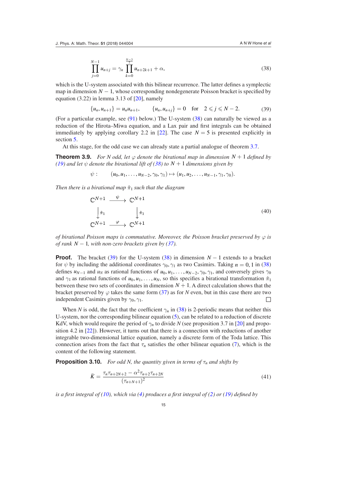<span id="page-16-6"></span>
$$
\prod_{j=0}^{N-1} u_{n+j} = \gamma_n \prod_{k=0}^{\frac{N-3}{2}} u_{n+2k+1} + \alpha,\tag{38}
$$

which is the U-system associated with this bilinear recurrence. The latter defines a symplectic map in dimension  $N - 1$ , whose corresponding nondegenerate Poisson bracket is specified by equation  $(3.22)$  in lemma 3.13 of  $[20]$  $[20]$ , namely

<span id="page-16-5"></span>
$$
\{u_n, u_{n+1}\} = u_n u_{n+1}, \qquad \{u_n, u_{n+j}\} = 0 \quad \text{for} \quad 2 \leq j \leq N - 2. \tag{39}
$$

(For a particular example, see ([91\)](#page-25-0) below.) The U-system ([38\)](#page-15-0) can naturally be viewed as a reduction of the Hirota–Miwa equation, and a Lax pair and irst integrals can be obtained immediately by applying corollary 2.2 in [[22\]](#page-29-3). The case  $N = 5$  is presented explicitly in section [5.](#page-24-0)

At this stage, for the odd case we can already state a partial analogue of theorem [3.7.](#page-13-5)

**Theorem 3.9.** *For N odd, let*  $\varphi$  *denote the birational map in dimension N* + 1 *defined by [\(19](#page-10-1))* and let  $\psi$  denote the birational lift of ([38\)](#page-15-0) to  $N + 1$  dimensions given by

$$
\psi
$$
:  $(u_0, u_1, \ldots, u_{N-2}, \gamma_0, \gamma_1) \mapsto (u_1, u_2, \ldots, u_{N-1}, \gamma_1, \gamma_0).$ 

*Then there is a birational map*  $\hat{\pi}_1$  *such that the diagram* 

<span id="page-16-0"></span>
$$
\begin{aligned}\n\mathbb{C}^{N+1} & \xrightarrow{\psi} \mathbb{C}^{N+1} \\
\downarrow \hat{\pi}_1 & \downarrow \hat{\pi}_1 \\
\mathbb{C}^{N+1} & \xrightarrow{\varphi} \mathbb{C}^{N+1}\n\end{aligned} \tag{40}
$$

*of birational Poisson maps is commutative. Moreover, the Poisson bracket preserved by*  $\varphi$  *is of rank*  $N-1$ *, with non-zero brackets given by ([37\)](#page-14-0).* 

<span id="page-16-4"></span>**Proof.** The bracket [\(39](#page-15-1)) for the U-system ([38\)](#page-15-0) in dimension  $N-1$  extends to a bracket for  $\psi$  by including the additional coordinates  $\gamma_0, \gamma_1$  as two Casimirs. Taking  $n = 0, 1$  in ([38\)](#page-15-0) defines  $u_{N-1}$  and  $u_N$  as rational functions of  $u_0, u_1, \ldots, u_{N-2}, \gamma_0, \gamma_1$ , and conversely gives  $\gamma_0$ and  $\gamma_1$  as rational functions of  $u_0, u_1, \ldots, u_N$ , so this specifies a birational transformation  $\hat{\pi}_1$ between these two sets of coordinates in dimension  $N + 1$ . A direct calculation shows that the bracket preserved by  $\varphi$  takes the same form [\(37](#page-14-0)) as for *N* even, but in this case there are two independent Casimirs given by  $\gamma_0$ ,  $\gamma_1$ .  $\Box$ 

<span id="page-16-2"></span>When *N* is odd, the fact that the coefficient  $\gamma_n$  in [\(38](#page-15-0)) is 2-periodic means that neither this U-system, nor the corresponding bilinear equation [\(5](#page-3-0)), can be related to a reduction of discrete KdV, which would require the period of  $\gamma_n$  to divide *N* (see proposition 3.7 in [[20\]](#page-29-2) and proposition 4.2 in [[22\]](#page-29-3)). However, it turns out that there is a connection with reductions of another integrable two-dimensional lattice equation, namely a discrete form of the Toda lattice. This connection arises from the fact that  $\tau_n$  satisfies the other bilinear equation [\(7](#page-3-3)), which is the content of the following statement.

**Proposition 3.10.** *For odd N, the quantity given in terms of*  $\tau_n$  *and shifts by* 

<span id="page-16-3"></span><span id="page-16-1"></span>
$$
\bar{K} = \frac{\tau_n \tau_{n+2N+2} - \alpha^2 \tau_{n+2} \tau_{n+2N}}{(\tau_{n+N+1})^2} \tag{41}
$$

*is a irst integral of ([10\)](#page-6-0), which via [\(4](#page-3-1)) produces a irst integral of ([2\)](#page-2-1) or [\(19](#page-10-1)) deined by*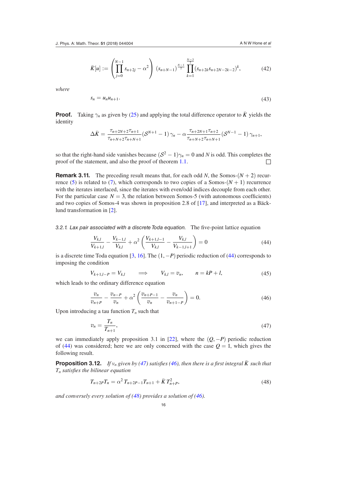$$
\bar{K}[u] := \left(\prod_{j=0}^{N-1} s_{n+2j} - \alpha^2\right) \left(s_{n+N-1}\right)^{\frac{N-1}{2}} \prod_{k=1}^{\frac{N-3}{2}} \left(s_{n+2k} s_{n+2N-2k-2}\right)^k, \tag{42}
$$

*where*

<span id="page-17-0"></span>
$$
s_n = u_n u_{n+1}.\tag{43}
$$

**Proof.** Taking  $\gamma_n$  as given by ([25\)](#page-11-4) and applying the total difference operator to  $\bar{K}$  yields the identity

<span id="page-17-5"></span><span id="page-17-1"></span>
$$
\Delta \bar{K} = \frac{\tau_{n+2N+2}\tau_{n+1}}{\tau_{n+N+2}\tau_{n+N+1}} (\mathcal{S}^{N+1} - 1) \gamma_n - \alpha \frac{\tau_{n+2N+1}\tau_{n+2}}{\tau_{n+N+2}\tau_{n+N+1}} (\mathcal{S}^{N-1} - 1) \gamma_{n+1},
$$

so that the right-hand side vanishes because  $(S^2 - 1)\gamma_n = 0$  and *N* is odd. This completes the proof of the statement, and also the proof of theorem [1.1](#page-3-4).  $\Box$ 

**Remark 3.11.** The preceding result means that, for each odd *N*, the Somos- $(N + 2)$  recur-rence [\(5](#page-3-0)) is related to [\(7](#page-3-3)), which corresponds to two copies of a Somos- $(N + 1)$  recurrence with the iterates interlaced, since the iterates with even/odd indices decouple from each other. For the particular case  $N = 3$ , the relation between Somos-5 (with autonomous coefficients) and two copies of Somos-4 was shown in proposition 2.8 of [[17\]](#page-29-21), and interpreted as a Bäcklund transformation in [\[2](#page-29-22)].

3.2.1. Lax pair associated with a discrete Toda equation. The five-point lattice equation

$$
\frac{V_{k,l}}{V_{k+1,l}} - \frac{V_{k-1,l}}{V_{k,l}} + \alpha^2 \left( \frac{V_{k+1,l-1}}{V_{k,l}} - \frac{V_{k,l}}{V_{k-1,l+1}} \right) = 0
$$
\n(44)

is a discrete time Toda equation [\[3](#page-29-23), [16\]](#page-29-24). The (1, −*P*) periodic reduction of ([44\)](#page-16-0) corresponds to imposing the condition

<span id="page-17-6"></span>
$$
V_{k+1,l-P} = V_{k,l} \qquad \Longrightarrow \qquad V_{k,l} = v_n, \qquad n = kP + l,\tag{45}
$$

which leads to the ordinary difference equation

<span id="page-17-2"></span>
$$
\frac{v_n}{v_{n+P}} - \frac{v_{n-P}}{v_n} + \alpha^2 \left( \frac{v_{n+P-1}}{v_n} - \frac{v_n}{v_{n+1-P}} \right) = 0.
$$
 (46)

Upon introducing a tau function  $T<sub>n</sub>$  such that

<span id="page-17-4"></span><span id="page-17-3"></span>
$$
v_n = \frac{T_n}{T_{n+1}},\tag{47}
$$

we can immediately apply proposition 3.1 in [\[22](#page-29-3)], where the  $(O, -P)$  periodic reduction of [\(44](#page-16-0)) was considered; here we are only concerned with the case  $Q = 1$ , which gives the following result.

**Proposition 3.12.** *If v<sub>n</sub>* given by [\(47](#page-16-1)) satisfies [\(46](#page-16-2)), then there is a first integral  $\bar{K}$  such that *Tn satisies the bilinear equation*

$$
T_{n+2P}T_n = \alpha^2 T_{n+2P-1}T_{n+1} + \bar{K}T_{n+P}^2,
$$
\n(48)

*and conversely every solution of ([48\)](#page-16-3) provides a solution of ([46\)](#page-16-2).*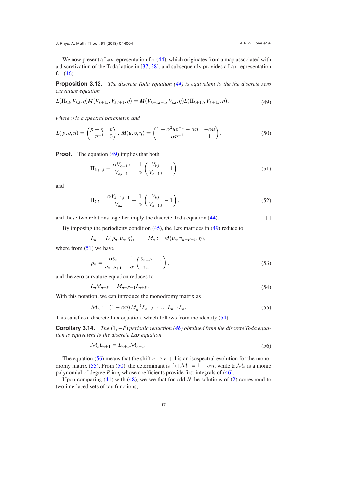<span id="page-18-3"></span>We now present a Lax representation for  $(44)$  $(44)$ , which originates from a map associated with a discretization of the Toda lattice in [\[37](#page-30-15), [38\]](#page-30-16), and subsequently provides a Lax representation for  $(46)$  $(46)$ .

**Proposition 3.13.** *The discrete Toda equation [\(44](#page-16-0)) is equivalent to the the discrete zero curvature equation*

<span id="page-18-4"></span>
$$
L(\Pi_{k,l}, V_{k,l}, \eta)M(V_{k+1,l}, V_{k,l+1}, \eta) = M(V_{k+1,l-1}, V_{k,l}, \eta)L(\Pi_{k+1,l}, V_{k+1,l}, \eta), \qquad (49)
$$

*where η is a spectral parameter, and*

$$
L(p,v,\eta) = \begin{pmatrix} p+\eta & v \\ -v^{-1} & 0 \end{pmatrix}, M(u,v,\eta) = \begin{pmatrix} 1 - \alpha^2 u v^{-1} - \alpha \eta & -\alpha u \\ \alpha v^{-1} & 1 \end{pmatrix}.
$$
 (50)

**Proof.** The equation [\(49](#page-17-0)) implies that both

<span id="page-18-0"></span>
$$
\Pi_{k+1,l} = \frac{\alpha V_{k+1,l}}{V_{k,l+1}} + \frac{1}{\alpha} \left( \frac{V_{k,l}}{V_{k+1,l}} - 1 \right)
$$
\n(51)

and

<span id="page-18-5"></span><span id="page-18-2"></span>
$$
\Pi_{k,l} = \frac{\alpha V_{k+1,l-1}}{V_{k,l}} + \frac{1}{\alpha} \left( \frac{V_{k,l}}{V_{k+1,l}} - 1 \right),\tag{52}
$$

and these two relations together imply the discrete Toda equation  $(44)$  $(44)$ .

By imposing the periodicity condition [\(45](#page-16-4)), the Lax matrices in [\(49](#page-17-0)) reduce to

$$
L_n := L(p_n, v_n, \eta), \qquad M_n := M(v_n, v_{n-P+1}, \eta),
$$

where from  $(51)$  $(51)$  we have

<span id="page-18-6"></span>
$$
p_n = \frac{\alpha v_n}{v_{n-P+1}} + \frac{1}{\alpha} \left( \frac{v_{n-P}}{v_n} - 1 \right),\tag{53}
$$

and the zero curvature equation reduces to

$$
L_n M_{n+P} = M_{n+P-1} L_{n+P}.
$$
\n(54)

With this notation, we can introduce the monodromy matrix as

<span id="page-18-1"></span>
$$
\mathcal{M}_n := (1 - \alpha \eta) M_n^{-1} L_{n - P + 1} \dots L_{n - 1} L_n.
$$
\n(55)

This satisfies a discrete Lax equation, which follows from the identity ([54\)](#page-17-2).

**Corollary 3.14.** *The* (1, −*P*) *periodic reduction [\(46](#page-16-2)) obtained from the discrete Toda equation is equivalent to the discrete Lax equation*

$$
\mathcal{M}_n L_{n+1} = L_{n+1} \mathcal{M}_{n+1}.\tag{56}
$$

The equation [\(56](#page-17-3)) means that the shift  $n \to n + 1$  is an isospectral evolution for the mono-dromy matrix ([55\)](#page-17-4). From ([50\)](#page-17-5), the determinant is det  $\mathcal{M}_n = 1 - \alpha \eta$ , while tr $\mathcal{M}_n$  is a monic polynomial of degree *P* in  $\eta$  whose coefficients provide first integrals of ([46\)](#page-16-2).

Upon comparing [\(41](#page-15-2)) with ([48\)](#page-16-3), we see that for odd *N* the solutions of [\(2](#page-2-1)) correspond to two interlaced sets of tau functions,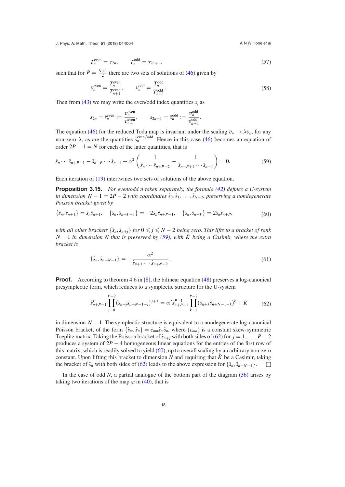$$
T_n^{\text{even}} = \tau_{2n}, \qquad T_n^{\text{odd}} = \tau_{2n+1}, \tag{57}
$$

such that for  $P = \frac{N+1}{2}$  there are two sets of solutions of ([46\)](#page-16-2) given by

<span id="page-19-5"></span>
$$
v_n^{\text{even}} = \frac{T_n^{\text{even}}}{T_{n+1}^{\text{even}}}, \qquad v_n^{\text{odd}} = \frac{T_n^{\text{odd}}}{T_{n+1}^{\text{odd}}}.
$$
\n(58)

Then from [\(43](#page-16-5)) we may write the even/odd index quantities  $s_j$  as

$$
s_{2n} = \hat{s}_n^{\text{even}} := \frac{\sigma_n^{\text{even}}}{\sigma_{n+1}^{\text{even}}}, \qquad s_{2n+1} = \hat{s}_n^{\text{odd}} := \frac{\sigma_n^{\text{odd}}}{\sigma_{n+1}^{\text{odd}}}
$$

The equation ([46\)](#page-16-2) for the reduced Toda map is invariant under the scaling  $v_n \to \lambda v_n$ , for any non-zero  $\lambda$ , as are the quantities  $\hat{s}_n^{\text{even}/\text{odd}}$ . Hence in this case [\(46](#page-16-2)) becomes an equation of order  $2P - 1 = N$  for each of the latter quantities, that is

$$
\hat{s}_n \cdots \hat{s}_{n+P-1} - \hat{s}_{n-P} \cdots \hat{s}_{n-1} + \alpha^2 \left( \frac{1}{\hat{s}_n \cdots \hat{s}_{n+P-2}} - \frac{1}{\hat{s}_{n-P+1} \cdots \hat{s}_{n-1}} \right) = 0. \tag{59}
$$

Each iteration of [\(19](#page-10-1)) intertwines two sets of solutions of the above equation.

**Proposition 3.15.** *For even/odd n taken separately, the formula [\(42](#page-16-6)) deines a U-system in dimension*  $N - 1 = 2P - 2$  *with coordinates*  $\hat{s}_0, \hat{s}_1, \ldots, \hat{s}_{N-2}$ *, preserving a nondegenerate Poisson bracket given by*

$$
\{\hat{s}_n, \hat{s}_{n+1}\} = \hat{s}_n \hat{s}_{n+1}, \quad \{\hat{s}_n, \hat{s}_{n+P-1}\} = -2\hat{s}_n \hat{s}_{n+P-1}, \quad \{\hat{s}_n, \hat{s}_{n+P}\} = 2\hat{s}_n \hat{s}_{n+P},
$$
\n(60)

*with all other brackets*  $\{\hat{s}_n, \hat{s}_{n+1}\}$  *for*  $0 \leq j \leq N - 2$  *being zero. This lifts to a bracket of rank*  $N-1$  *in dimension N that is preserved by [\(59](#page-18-0)), with*  $\overline{K}$  *being a Casimir, where the extra bracket is*

<span id="page-19-2"></span><span id="page-19-1"></span><span id="page-19-0"></span>
$$
\{\hat{s}_n, \hat{s}_{n+N-1}\} = -\frac{\alpha^2}{\hat{s}_{n+1} \cdots \hat{s}_{n+N-2}}.\tag{61}
$$

**Proof.** According to theorem 4.6 in [\[8](#page-29-4)], the bilinear equation ([48\)](#page-16-3) preserves a log-canonical presymplectic form, which reduces to a symplectic structure for the U-system

<span id="page-19-3"></span>
$$
\hat{s}_{n+P-1}^P \prod_{j=0}^{P-2} (\hat{s}_{n+j}\hat{s}_{n+N-1-j})^{j+1} = \alpha^2 \hat{s}_{n+P-1}^{P-1} \prod_{k=1}^{P-2} (\hat{s}_{n+k}\hat{s}_{n+N-1-k})^k + \bar{K}
$$
 (62)

in dimension  $N - 1$ . The symplectic structure is equivalent to a nondegenerate log-canonical Poisson bracket, of the form  $\{\hat{s}_m, \hat{s}_n\} = c_{mn} \hat{s}_m \hat{s}_n$ , where  $(c_{mn})$  is a constant skew-symmetric Toeplitz matrix. Taking the Poisson bracket of  $\hat{s}_{n+j}$  with both sides of [\(62](#page-18-1)) for  $j = 1, ..., P - 2$ produces a system of 2*P* − 4 homogeneous linear equations for the entries of the irst row of this matrix, which is readily solved to yield [\(60](#page-18-2)), up to overall scaling by an arbitrary non-zero constant. Upon lifting this bracket to dimension *N* and requiring that  $\bar{K}$  be a Casimir, taking the bracket of  $\hat{s}_n$  with both sides of [\(62](#page-18-1)) leads to the above expression for  $\{\hat{s}_n, \hat{s}_{n+N-1}\}$ . □

<span id="page-19-4"></span>In the case of odd *N*, a partial analogue of the bottom part of the diagram ([36\)](#page-14-1) arises by taking two iterations of the map  $\varphi$  in ([40\)](#page-15-3), that is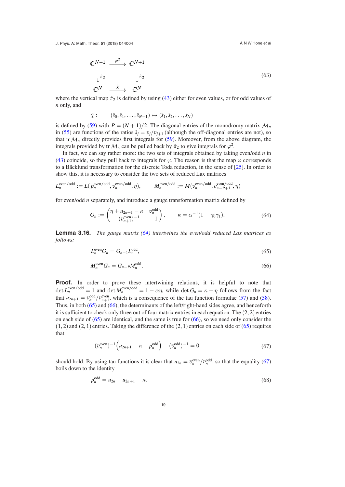$$
\begin{aligned}\n\mathbb{C}^{N+1} & \xrightarrow{\varphi^2} \mathbb{C}^{N+1} \\
\downarrow \hat{\pi}_2 & \downarrow \hat{\pi}_2 \\
\mathbb{C}^N & \xrightarrow{\hat{\chi}} \mathbb{C}^N\n\end{aligned} \tag{63}
$$

where the vertical map  $\hat{\pi}_2$  is defined by using [\(43](#page-16-5)) either for even values, or for odd values of *n* only, and

<span id="page-20-0"></span>
$$
\hat{\chi}:\qquad (\hat{s}_0,\hat{s}_1,\ldots,\hat{s}_{N-1})\mapsto (\hat{s}_1,\hat{s}_2,\ldots,\hat{s}_N)
$$

is defined by [\(59](#page-18-0)) with  $P = (N + 1)/2$ . The diagonal entries of the monodromy matrix  $\mathcal{M}_n$ in [\(55](#page-17-4)) are functions of the ratios  $\hat{s}_j = v_j/v_{j+1}$  (although the off-diagonal entries are not), so that tr $\mathcal{M}_n$  directly provides first integrals for [\(59](#page-18-0)). Moreover, from the above diagram, the integrals provided by tr  $\mathcal{M}_n$  can be pulled back by  $\hat{\pi}_2$  to give integrals for  $\varphi^2$ .

In fact, we can say rather more: the two sets of integrals obtained by taking even/odd *n* in [\(43](#page-16-5)) coincide, so they pull back to integrals for  $\varphi$ . The reason is that the map  $\varphi$  corresponds to a Bäcklund transformation for the discrete Toda reduction, in the sense of [\[25](#page-29-8)]. In order to show this, it is necessary to consider the two sets of reduced Lax matrices

$$
L_n^{\text{even}/\text{odd}} := L(p_n^{\text{even}/\text{odd}}, v_n^{\text{even}/\text{odd}}, \eta), \qquad M_n^{\text{even}/\text{odd}} := M(v_n^{\text{even}/\text{odd}}, v_{n-P+1}^{\text{even}/\text{odd}}, \eta)
$$

for even/odd *n* separately, and introduce a gauge transformation matrix defined by

<span id="page-20-1"></span>
$$
G_n := \begin{pmatrix} \eta + u_{2n+1} - \kappa & v_n^{\text{odd}} \\ -(v_{n+1}^{\text{even}})^{-1} & -1 \end{pmatrix}, \qquad \kappa = \alpha^{-1} (1 - \gamma_0 \gamma_1). \tag{64}
$$

**Lemma 3.16.** *The gauge matrix [\(64](#page-19-0)) intertwines the even/odd reduced Lax matrices as follows:*

<span id="page-20-2"></span>
$$
L_n^{\text{even}} G_n = G_{n-1} L_n^{\text{odd}},\tag{65}
$$

$$
M_n^{\text{even}} G_n = G_{n-P} M_n^{\text{odd}}.\tag{66}
$$

Proof. In order to prove these intertwining relations, it is helpful to note that  $\det L_n^{\text{even}/\text{odd}} = 1$  and  $\det M_n^{\text{even}/\text{odd}} = 1 - \alpha \eta$ , while  $\det G_n = \kappa - \eta$  follows from the fact that  $u_{2n+1} = v_n^{\text{odd}}/v_{n+1}^{\text{even}}$ , which is a consequence of the tau function formulae ([57\)](#page-18-3) and [\(58](#page-18-4)). Thus, in both ([65\)](#page-19-1) and [\(66](#page-19-2)), the determinants of the left/right-hand sides agree, and henceforth it is sufficient to check only three out of four matrix entries in each equation. The  $(2, 2)$  entries on each side of  $(65)$  $(65)$  are identical, and the same is true for  $(66)$  $(66)$ , so we need only consider the  $(1, 2)$  and  $(2, 1)$  entries. Taking the difference of the  $(2, 1)$  entries on each side of  $(65)$  $(65)$  requires that

$$
-(v_n^{\text{even}})^{-1}\left(u_{2n+1} - \kappa - p_n^{\text{odd}}\right) - (v_n^{\text{odd}})^{-1} = 0
$$
\n(67)

should hold. By using tau functions it is clear that  $u_{2n} = v_n^{\text{even}}/v_n^{\text{odd}}$ , so that the equality ([67\)](#page-19-3) boils down to the identity

$$
p_n^{\text{odd}} = u_{2n} + u_{2n+1} - \kappa. \tag{68}
$$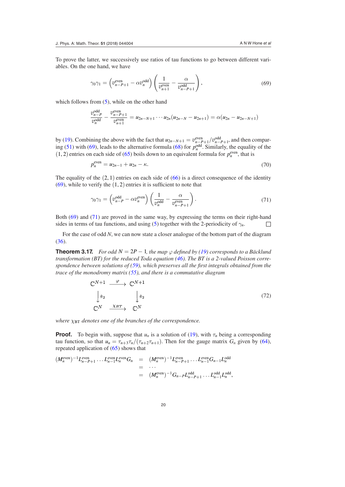To prove the latter, we successively use ratios of tau functions to go between different variables. On the one hand, we have

<span id="page-21-0"></span>
$$
\gamma_0 \gamma_1 = \left( v_{n-P+1}^{\text{even}} - \alpha v_n^{\text{odd}} \right) \left( \frac{1}{v_{n+1}^{\text{even}}} - \frac{\alpha}{v_{n-P+1}^{\text{odd}}} \right),\tag{69}
$$

which follows from  $(5)$  $(5)$ , while on the other hand

$$
\frac{v_{n-P}^{\text{odd}}}{v_n^{\text{odd}}} - \frac{v_{n-P+1}^{\text{even}}}{v_{n+1}^{\text{even}}} = u_{2n-N+1} \cdots u_{2n} (u_{2n-N} - u_{2n+1}) = \alpha (u_{2n} - u_{2n-N+1})
$$

by [\(19](#page-10-1)). Combining the above with the fact that  $u_{2n-N+1} = v_{n-P+1}^{\text{even}}/v_{n-P+1}^{\text{odd}}$ , and then compar-ing ([51\)](#page-17-1) with ([69\)](#page-20-0), leads to the alternative formula [\(68](#page-19-4)) for  $p_n^{\text{odd}}$ . Similarly, the equality of the  $(1, 2)$  entries on each side of  $(65)$  $(65)$  boils down to an equivalent formula for  $p_n^{even}$ , that is

$$
p_n^{\text{even}} = u_{2n-1} + u_{2n} - \kappa. \tag{70}
$$

The equality of the  $(2, 1)$  entries on each side of  $(66)$  $(66)$  is a direct consequence of the identity  $(69)$  $(69)$ , while to verify the  $(1, 2)$  entries it is sufficient to note that

$$
\gamma_0 \gamma_1 = \left( v_{n-P}^{\text{odd}} - \alpha v_n^{\text{even}} \right) \left( \frac{1}{v_n^{\text{odd}}} - \frac{\alpha}{v_{n-P+1}^{\text{even}}} \right). \tag{71}
$$

Both ([69\)](#page-20-0) and [\(71](#page-20-1)) are proved in the same way, by expressing the terms on their right-hand sides in terms of tau functions, and using ([5\)](#page-3-0) together with the 2-periodicity of  $\gamma_n$ .

For the case of odd *N*, we can now state a closer analogue of the bottom part of the diagram [\(36](#page-14-1)).

**Theorem 3.17.** *For odd N* =  $2P - 1$ *, the map*  $\varphi$  *defined by [\(19](#page-10-1)) corresponds to a Bäcklund transformation (BT) for the reduced Toda equation ([46\)](#page-16-2). The BT is a 2-valued Poisson correspondence between solutions of [\(59](#page-18-0)), which preserves all the irst integrals obtained from the trace of the monodromy matrix ([55\)](#page-17-4), and there is a commutative diagram*

$$
\begin{array}{ccc}\n\mathbb{C}^{N+1} & \xrightarrow{\varphi} & \mathbb{C}^{N+1} \\
\downarrow \hat{\pi}_2 & & \downarrow \hat{\pi}_2 \\
\mathbb{C}^N & \xrightarrow{\chi_{BT}} & \mathbb{C}^N\n\end{array} \tag{72}
$$

*where*  $χ_{BT}$  *denotes one of the branches of the correspondence.* 

 $\overline{a}$ 

**Proof.** To begin with, suppose that  $u_n$  is a solution of [\(19](#page-10-1)), with  $\tau_n$  being a corresponding tau function, so that  $u_n = \tau_{n+3} \tau_n/(\tau_{n+2} \tau_{n+1})$ . Then for the gauge matrix  $G_n$  given by [\(64](#page-19-0)), repeated application of [\(65](#page-19-1)) shows that

$$
(M_n^{\text{even}})^{-1} L_{n-P+1}^{\text{even}} \dots L_{n-1}^{\text{even}} L_n^{\text{even}} G_n = (M_n^{\text{even}})^{-1} L_{n-P+1}^{\text{even}} \dots L_{n-1}^{\text{even}} G_{n-1} L_n^{\text{odd}}
$$
  
= 
$$
\dots
$$
  
= 
$$
(M_n^{\text{even}})^{-1} G_{n-P} L_{n-P+1}^{\text{odd}} \dots L_{n-1}^{\text{odd}} L_n^{\text{odd}},
$$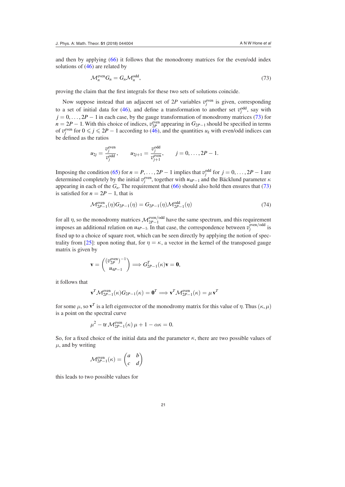and then by applying ([66\)](#page-19-2) it follows that the monodromy matrices for the even/odd index solutions of ([46\)](#page-16-2) are related by

$$
\mathcal{M}_n^{\text{even}} G_n = G_n \mathcal{M}_n^{\text{odd}},\tag{73}
$$

proving the claim that the first integrals for these two sets of solutions coincide.

Now suppose instead that an adjacent set of  $2P$  variables  $v_j^{even}$  is given, corresponding to a set of initial data for [\(46](#page-16-2)), and define a transformation to another set  $v_j^{\text{odd}}$ , say with  $j = 0, \ldots, 2P - 1$  in each case, by the gauge transformation of monodromy matrices ([73\)](#page-21-0) for  $n = 2P - 1$ . With this choice of indices,  $v_{2P}^{\text{even}}$  appearing in  $G_{2P-1}$  should be specified in terms of  $v_j^{\text{even}}$  for  $0 \le j \le 2P - 1$  according to ([46\)](#page-16-2), and the quantities  $u_k$  with even/odd indices can be defined as the ratios

$$
u_{2j} = \frac{v_j^{\text{even}}}{v_j^{\text{odd}}},
$$
  $u_{2j+1} = \frac{v_j^{\text{odd}}}{v_{j+1}^{\text{even}}},$   $j = 0, ..., 2P - 1.$ 

Imposing the condition [\(65](#page-19-1)) for  $n = P, \ldots, 2P - 1$  implies that  $v_j^{\text{odd}}$  for  $j = 0, \ldots, 2P - 1$  are determined completely by the initial  $v_j^{\text{even}}$ , together with  $u_{4P-1}$  and the Bäcklund parameter  $\kappa$ appearing in each of the  $G<sub>n</sub>$ . The requirement that ([66\)](#page-19-2) should also hold then ensures that ([73\)](#page-21-0) is satisfied for  $n = 2P - 1$ , that is

$$
\mathcal{M}_{2P-1}^{\text{even}}(\eta)G_{2P-1}(\eta) = G_{2P-1}(\eta)\mathcal{M}_{2P-1}^{\text{odd}}(\eta)
$$
\n(74)

<span id="page-22-0"></span>for all  $\eta$ , so the monodromy matrices  $\mathcal{M}_{2P-1}^{\text{even}/\text{odd}}$  have the same spectrum, and this requirement imposes an additional relation on  $u_{4P-1}$ . In that case, the correspondence between  $v_j^{\text{even}/\text{odd}}$  is fixed up to a choice of square root, which can be seen directly by applying the notion of spec-trality from [\[25](#page-29-8)]: upon noting that, for  $\eta = \kappa$ , a vector in the kernel of the transposed gauge matrix is given by

$$
\mathbf{v} = \begin{pmatrix} (v_{2P}^{\text{even}})^{-1} \\ u_{4P-1} \end{pmatrix} \Longrightarrow G_{2P-1}^T(\kappa) \mathbf{v} = \mathbf{0},
$$

it follows that

<span id="page-22-3"></span>
$$
\mathbf{v}^T \mathcal{M}_{2P-1}^{\text{even}}(\kappa) G_{2P-1}(\kappa) = \mathbf{0}^T \Longrightarrow \mathbf{v}^T \mathcal{M}_{2P-1}^{\text{even}}(\kappa) = \mu \mathbf{v}^T
$$

for some  $\mu$ , so  $\mathbf{v}^T$  is a left eigenvector of the monodromy matrix for this value of  $\eta$ . Thus  $(\kappa, \mu)$ is a point on the spectral curve

<span id="page-22-1"></span>
$$
\mu^2 - \text{tr}\,\mathcal{M}_{2P-1}^{\text{even}}(\kappa)\,\mu + 1 - \alpha\kappa = 0.
$$

So, for a fixed choice of the initial data and the parameter  $\kappa$ , there are two possible values of  $\mu$ , and by writing

<span id="page-22-4"></span><span id="page-22-2"></span>
$$
\mathcal{M}_{2P-1}^{\text{even}}(\kappa) = \begin{pmatrix} a & b \\ c & d \end{pmatrix}
$$

this leads to two possible values for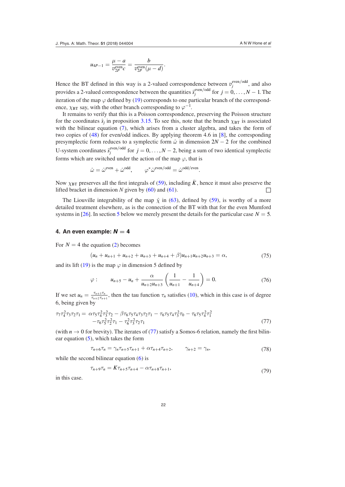<span id="page-23-4"></span>
$$
u_{4P-1} = \frac{\mu - a}{v_{2P}^{\text{even}}} = \frac{b}{v_{2P}^{\text{even}}(\mu - d)}.
$$

Hence the BT defined in this way is a 2-valued correspondence between  $v_j^{\text{even}/\text{odd}}$ , and also provides a 2-valued correspondence between the quantities  $\hat{s}^{\text{even}/\text{odd}}_j$  for  $j = 0, ..., N - 1$ . The iteration of the map  $\varphi$  defined by [\(19](#page-10-1)) corresponds to one particular branch of the correspondence,  $\chi_{\rm BT}$  say, with the other branch corresponding to  $\varphi^{-1}$ .

It remains to verify that this is a Poisson correspondence, preserving the Poisson structure for the coordinates  $\hat{s}_j$  in proposition [3.15.](#page-18-5) To see this, note that the branch  $\chi_{\text{BT}}$  is associated withthe bilinear equation  $(7)$  $(7)$ , which arises from a cluster algebra, and takes the form of two copies of ([48\)](#page-16-3) for even/odd indices. By applying theorem 4.6 in [\[8](#page-29-4)], the corresponding presymplectic form reduces to a symplectic form  $\hat{\omega}$  in dimension  $2N - 2$  for the combined U-system coordinates  $\hat{s}^{\text{even/odd}}_j$  for  $j = 0, ..., N - 2$ , being a sum of two identical symplectic forms which are switched under the action of the map  $\varphi$ , that is

<span id="page-23-0"></span>
$$
\hat{\omega} = \hat{\omega}^{\text{even}} + \hat{\omega}^{\text{odd}}, \qquad \varphi^* \hat{\omega}^{\text{even}/\text{odd}} = \hat{\omega}^{\text{odd}/\text{even}}.
$$

Now  $\chi_{\text{BT}}$  preserves all the first integrals of [\(59](#page-18-0)), including  $\bar{K}$ , hence it must also preserve the lifted bracket in dimension *N* given by [\(60](#page-18-2)) and [\(61](#page-18-6)).  $\Box$ 

The Liouville integrability of the map  $\hat{\chi}$  in ([63\)](#page-19-5), defined by ([59\)](#page-18-0), is worthy of a more detailed treatment elsewhere, as is the connection of the BT with that for the even Mumford systems in [[26\]](#page-29-25). In section [5](#page-24-0) below we merely present the details for the particular case  $N = 5$ .

#### **4. An even example:**  $N = 4$

For  $N = 4$  the equation ([2\)](#page-2-1) becomes

<span id="page-23-1"></span>
$$
(u_n + u_{n+1} + u_{n+2} + u_{n+3} + u_{n+4} + \beta)u_{n+1}u_{n+2}u_{n+3} = \alpha,
$$
\n(75)

and its lift [\(19](#page-10-1)) is the map  $\varphi$  in dimension 5 defined by

<span id="page-23-2"></span>
$$
\varphi: \qquad u_{n+5} - u_n + \frac{\alpha}{u_{n+2}u_{n+3}} \left( \frac{1}{u_{n+1}} - \frac{1}{u_{n+4}} \right) = 0. \tag{76}
$$

If we set  $u_n = \frac{\tau_{n+3}\tau_n}{\tau_{n+3}\tau_{n+3}}$  $\frac{\tau_{n+3}\tau_n}{\tau_{n+2}\tau_{n+1}}$ , then the tau function  $\tau_n$  satisfies [\(10](#page-6-0)), which in this case is of degree 6, being given by

$$
\tau_7 \tau_4^2 \tau_3 \tau_2 \tau_1 = \alpha \tau_5 \tau_4^2 \tau_3^2 \tau_2 - \beta \tau_6 \tau_5 \tau_4 \tau_3 \tau_2 \tau_1 - \tau_6 \tau_5 \tau_4 \tau_3^2 \tau_0 - \tau_6 \tau_5 \tau_4^2 \tau_1^2 \n- \tau_6 \tau_5^2 \tau_2^2 \tau_1 - \tau_6^2 \tau_3^2 \tau_2 \tau_1
$$
\n(77)

(with  $n \to 0$  for brevity). The iterates of ([77\)](#page-22-1) satisfy a Somos-6 relation, namely the first bilinear equation ([5\)](#page-3-0), which takes the form

<span id="page-23-3"></span>
$$
\tau_{n+6}\tau_n = \gamma_n \tau_{n+5}\tau_{n+1} + \alpha \tau_{n+4}\tau_{n+2}, \qquad \gamma_{n+2} = \gamma_n, \tag{78}
$$

while the second bilinear equation  $(6)$  $(6)$  is

$$
\tau_{n+9}\tau_n = K\tau_{n+5}\tau_{n+4} - \alpha\tau_{n+8}\tau_{n+1},\tag{79}
$$

in this case.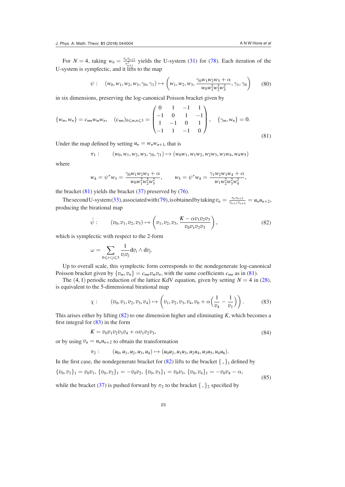For  $N = 4$ , taking  $w_n = \frac{\tau_n \tau_{n+2}}{\tau_{n+2}^2}$  yields the U-system [\(31](#page-13-0)) for [\(78](#page-22-2)). Each iteration of the U-system is symplectic, and it lifts to the map

$$
\psi: \quad (w_0, w_1, w_2, w_3, \gamma_0, \gamma_1) \mapsto \left(w_1, w_2, w_3, \frac{\gamma_0 w_1 w_2 w_3 + \alpha}{w_0 w_1^2 w_2^2 w_3^2}, \gamma_1, \gamma_0\right) \tag{80}
$$

in six dimensions, preserving the log-canonical Poisson bracket given by

$$
\{w_m, w_n\} = c_{mn} w_m w_n, \quad (c_{mn})_{0 \le m,n \le 3} = \begin{pmatrix} 0 & 1 & -1 & 1 \\ -1 & 0 & 1 & -1 \\ 1 & -1 & 0 & 1 \\ -1 & 1 & -1 & 0 \end{pmatrix}, \quad \{\gamma_m, w_n\} = 0.
$$
\n(81)

Under the map defined by setting  $u_n = w_n w_{n+1}$ , that is

$$
\pi_1: \qquad (w_0, w_1, w_2, w_3, \gamma_0, \gamma_1) \mapsto (w_0w_1, w_1w_2, w_2w_3, w_3w_4, w_4w_5)
$$

where

$$
w_4 = \psi^* w_3 = \frac{\gamma_0 w_1 w_2 w_3 + \alpha}{w_0 w_1^2 w_2^2 w_3^2}, \qquad w_5 = \psi^* w_4 = \frac{\gamma_1 w_2 w_3 w_4 + \alpha}{w_1 w_2^2 w_3^2 w_4^2},
$$

the bracket  $(81)$  $(81)$  yields the bracket  $(37)$  $(37)$  preserved by  $(76)$  $(76)$ .

The second U-system [\(33](#page-13-1)), associated with ([79\)](#page-22-4), is obtained by taking  $v_n = \frac{\tau_n \tau_{n+5}}{\tau_{n+1} \tau_{n+5}}$  $\frac{\tau_n \tau_{n+5}}{\tau_{n+1} \tau_{n+4}} = u_n u_{n+2},$ producing the birational map

$$
\hat{\psi}: \qquad (v_0, v_1, v_2, v_3) \mapsto \left(v_1, v_2, v_3, \frac{K - \alpha v_1 v_2 v_3}{v_0 v_1 v_2 v_3}\right),\tag{82}
$$

which is symplectic with respect to the 2-form

$$
\omega=\sum_{0\leqslant i
$$

Up to overall scale, this symplectic form corresponds to the nondegenerate log-canonical Poisson bracket given by  $\{v_m, v_n\} = c_{mn}v_m v_n$ , with the same coefficients  $c_{mn}$  as in ([81\)](#page-23-0).

The  $(4, 1)$  periodic reduction of the lattice KdV equation, given by setting  $N = 4$  in [\(28](#page-12-1)), is equivalent to the 5-dimensional birational map

$$
\chi: \qquad (v_0, v_1, v_2, v_3, v_4) \mapsto \left(v_1, v_2, v_3, v_4, v_0 + \alpha \left(\frac{1}{v_4} - \frac{1}{v_1}\right)\right). \tag{83}
$$

<span id="page-24-0"></span>This arises either by lifting ([82\)](#page-23-1) to one dimension higher and eliminating *K*, which becomes a first integral for  $(83)$  $(83)$  in the form

<span id="page-24-3"></span>
$$
K = v_0 v_1 v_2 v_3 v_4 + \alpha v_1 v_2 v_3,
$$
\n(84)

or by using  $v_n = u_n u_{n+2}$  to obtain the transformation

<span id="page-24-2"></span><span id="page-24-1"></span>
$$
\pi_2: \qquad (u_0, u_1, u_2, u_3, u_4) \mapsto (u_0u_2, u_1u_3, u_2u_4, u_3u_5, u_4u_6).
$$

In the first case, the nondegenerate bracket for  $(82)$  $(82)$  lifts to the bracket  $\{ , \}$ <sub>1</sub> defined by

$$
\{v_0, v_1\}_1 = v_0v_1, \{v_0, v_2\}_1 = -v_0v_2, \{v_0, v_3\}_1 = v_0v_3, \{v_0, v_4\}_1 = -v_0v_4 - \alpha,
$$
\n(85)

while the bracket ([37\)](#page-14-0) is pushed forward by  $\pi_2$  to the bracket  $\{ , \}$ <sub>2</sub> specified by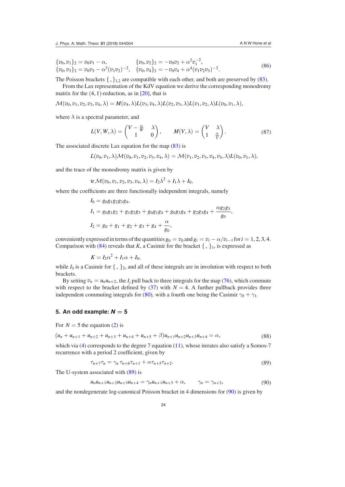<span id="page-25-0"></span> ${v_0, v_1}_2 = v_0v_1 - \alpha,$   ${v_0, v_2}_2 = -v_0v_2 + \alpha^2v_1^{-2},$  ${v_0, v_1}_2 = {v_0v_1 \atop v_0, v_1} = {v_0, v_2}_2 = {v_0v_2 \atop v_0, v_2} = {v_0v_1 \atop v_0, v_1}$ , (86)<br>  ${v_0, v_3}_2 = {v_0v_3 - \alpha^3(v_1v_2)^{-2}}, \quad {v_0, v_4}_2 = -{v_0v_4 + \alpha^4(v_1v_2v_3)^{-2}}.$  (86)

The Poisson brackets  $\{ , \}_{1,2}$  are compatible with each other, and both are preserved by ([83\)](#page-23-2). From the Lax representation of the KdV equation we derive the corresponding monodromy matrix for the  $(4, 1)$ -reduction, as in [\[20](#page-29-2)], that is

 $\mathcal{M}(v_0, v_1, v_2, v_3, v_4, \lambda) = M(v_4, \lambda)L(v_3, v_4, \lambda)L(v_2, v_3, \lambda)L(v_1, v_2, \lambda)L(v_0, v_1, \lambda),$ 

where  $\lambda$  is a spectral parameter, and

<span id="page-25-3"></span><span id="page-25-1"></span>
$$
L(V, W, \lambda) = \begin{pmatrix} V - \frac{\alpha}{W} & \lambda \\ 1 & 0 \end{pmatrix}, \qquad M(V, \lambda) = \begin{pmatrix} V & \lambda \\ 1 & \frac{\alpha}{V} \end{pmatrix}.
$$
 (87)

The associated discrete Lax equation for the map [\(83](#page-23-2)) is

$$
L(v_0, v_1, \lambda) \mathcal{M}(v_0, v_1, v_2, v_3, v_4, \lambda) = \mathcal{M}(v_1, v_2, v_3, v_4, v_5, \lambda) L(v_0, v_1, \lambda),
$$

and the trace of the monodromy matrix is given by

$$
\operatorname{tr} \mathcal{M}(v_0, v_1, v_2, v_3, v_4, \lambda) = I_2 \lambda^2 + I_1 \lambda + I_0,
$$

where the coeficients are three functionally independent integrals, namely

$$
I_0 = g_0g_1g_2g_3g_4,
$$
  
\n
$$
I_1 = g_0g_1g_2 + g_1g_2g_3 + g_0g_1g_4 + g_0g_3g_4 + g_2g_3g_4 + \frac{\alpha g_2g_3}{g_0},
$$
  
\n
$$
I_2 = g_0 + g_1 + g_2 + g_3 + g_4 + \frac{\alpha}{g_0},
$$

conveniently expressed in terms of the quantities  $g_0 = v_0$  and  $g_i = v_i - \alpha/v_{i-1}$  for  $i = 1, 2, 3, 4$ . Comparison with ([84](#page-23-3)) reveals that *K*, a Casimir for the bracket  $\{ , \}$ <sub>1</sub>, is expressed as

<span id="page-25-2"></span>
$$
K = I_2 \alpha^2 + I_1 \alpha + I_0,
$$

while  $I_0$  is a Casimir for  $\{ , \}$ <sub>2</sub>, and all of these integrals are in involution with respect to both brackets.

By setting  $v_n = u_n u_{n+2}$ , the  $I_j$  pull back to three integrals for the map [\(76](#page-22-3)), which commute with respect to the bracket defined by  $(37)$  $(37)$  with  $N = 4$ . A further pullback provides three independent commuting integrals for ([80\)](#page-23-4), with a fourth one being the Casimir  $\gamma_0 + \gamma_1$ .

#### **5. An odd example:**  $N = 5$

For  $N = 5$  the equation ([2\)](#page-2-1) is

$$
(u_n + u_{n+1} + u_{n+2} + u_{n+3} + u_{n+4} + u_{n+5} + \beta)u_{n+1}u_{n+2}u_{n+3}u_{n+4} = \alpha,
$$
\n(88)

which via [\(4](#page-3-1)) corresponds to the degree 7 equation [\(11](#page-7-1)), whose iterates also satisfy a Somos-7 recurrence with a period 2 coeficient, given by

$$
\tau_{n+7}\tau_n = \gamma_n \,\tau_{n+6}\tau_{n+1} + \alpha\tau_{n+5}\tau_{n+2}.\tag{89}
$$

The U-system associated with [\(89](#page-24-1)) is

$$
u_n u_{n+1} u_{n+2} u_{n+3} u_{n+4} = \gamma_n u_{n+1} u_{n+3} + \alpha, \qquad \gamma_n = \gamma_{n+2}, \tag{90}
$$

and the nondegenerate log-canonical Poisson bracket in 4 dimensions for [\(90](#page-24-2)) is given by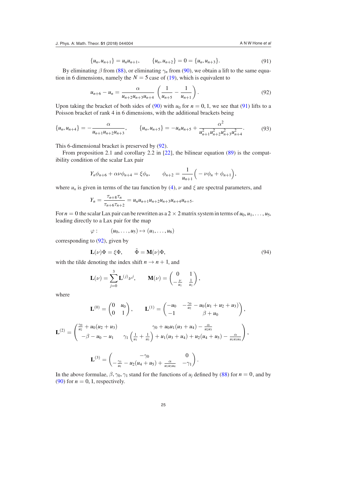$$
\{u_n, u_{n+1}\} = u_n u_{n+1}, \qquad \{u_n, u_{n+2}\} = 0 = \{u_n, u_{n+3}\}.
$$
 (91)

By eliminating  $\beta$  from [\(88](#page-24-3)), or eliminating  $\gamma_n$  from [\(90](#page-24-2)), we obtain a lift to the same equation in 6 dimensions, namely the  $N = 5$  case of [\(19](#page-10-1)), which is equivalent to

<span id="page-26-1"></span>
$$
u_{n+6} - u_n = \frac{\alpha}{u_{n+2}u_{n+3}u_{n+4}} \left(\frac{1}{u_{n+5}} - \frac{1}{u_{n+1}}\right).
$$
 (92)

Upon taking the bracket of both sides of [\(90](#page-24-2)) with  $u_0$  for  $n = 0, 1$ , we see that [\(91](#page-25-0)) lifts to a Poisson bracket of rank 4 in 6 dimensions, with the additional brackets being

$$
\{u_n, u_{n+4}\} = -\frac{\alpha}{u_{n+1}u_{n+2}u_{n+3}}, \qquad \{u_n, u_{n+5}\} = -u_n u_{n+5} + \frac{\alpha^2}{u_{n+1}^2 u_{n+2}^2 u_{n+3}^2 u_{n+4}^2}.
$$
 (93)

This 6-dimensional bracket is preserved by [\(92](#page-25-1)).

From proposition 2.1 and corollary 2.2 in [\[22](#page-29-3)], the bilinear equation [\(89](#page-24-1)) is the compatibility condition of the scalar Lax pair

$$
Y_n \phi_{n+6} + \alpha \nu \phi_{n+4} = \xi \phi_n, \qquad \phi_{n+2} = \frac{1}{u_{n+1}} \Big( -\nu \phi_n + \phi_{n+1} \Big),
$$

where  $u_n$  is given in terms of the tau function by [\(4](#page-3-1)),  $\nu$  and  $\xi$  are spectral parameters, and

$$
Y_n = \frac{\tau_{n+8}\tau_n}{\tau_{n+6}\tau_{n+2}} = u_n u_{n+1} u_{n+2} u_{n+3} u_{n+4} u_{n+5}.
$$

For  $n = 0$  the scalar Lax pair can be rewritten as a 2  $\times$  2 matrix system in terms of  $u_0, u_1, \ldots, u_5$ , leading directly to a Lax pair for the map

$$
\varphi: \qquad (u_0,\ldots,u_5)\mapsto (u_1,\ldots,u_6)
$$

corresponding to [\(92](#page-25-1)), given by

$$
\mathbf{L}(\nu)\Phi = \xi\Phi, \qquad \tilde{\Phi} = \mathbf{M}(\nu)\Phi,
$$
\n(94)

with the tilde denoting the index shift  $n \to n + 1$ , and

<span id="page-26-0"></span>
$$
\mathbf{L}(\nu) = \sum_{j=0}^{3} \mathbf{L}^{(j)} \nu^{j}, \qquad \mathbf{M}(\nu) = \begin{pmatrix} 0 & 1 \\ -\frac{\nu}{u_1} & \frac{1}{u_1} \end{pmatrix},
$$

where

$$
\mathbf{L}^{(0)} = \begin{pmatrix} 0 & u_0 \ 0 & 1 \end{pmatrix}, \qquad \mathbf{L}^{(1)} = \begin{pmatrix} -u_0 & -\frac{\gamma_0}{u_2} - u_0(u_1 + u_2 + u_3) \\ -1 & \beta + u_0 \end{pmatrix},
$$

$$
\mathbf{L}^{(2)} = \begin{pmatrix} \frac{\gamma_0}{u_2} + u_0(u_2 + u_3) & \gamma_0 + u_0 u_1(u_3 + u_4) - \frac{\alpha}{u_2 u_3} \\ -\beta - u_0 - u_1 & \gamma_1 \left( \frac{1}{u_1} + \frac{1}{u_3} \right) + u_1(u_3 + u_4) + u_2(u_4 + u_5) - \frac{\alpha}{u_1 u_3 u_4} \end{pmatrix},
$$

<span id="page-26-2"></span>
$$
\mathbf{L}^{(3)} = \begin{pmatrix} -\gamma_0 & 0 \\ -\frac{\gamma_1}{u_1} - u_2(u_4 + u_5) + \frac{\alpha}{u_1 u_3 u_4} & -\gamma_1 \end{pmatrix}.
$$

In the above formulae,  $\beta$ ,  $\gamma_0$ ,  $\gamma_1$  stand for the functions of  $u_j$  defined by [\(88](#page-24-3)) for  $n = 0$ , and by [\(90](#page-24-2)) for  $n = 0, 1$ , respectively.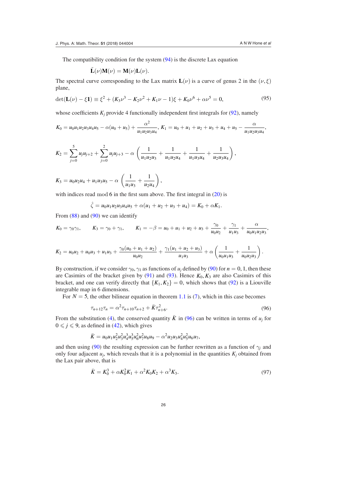The compatibility condition for the system  $(94)$  $(94)$  is the discrete Lax equation

<span id="page-27-0"></span>
$$
\tilde{\mathbf{L}}(\nu)\mathbf{M}(\nu) = \mathbf{M}(\nu)\mathbf{L}(\nu).
$$

The spectral curve corresponding to the Lax matrix  $\mathbf{L}(\nu)$  is a curve of genus 2 in the  $(\nu, \xi)$ plane,

$$
\det(\mathbf{L}(\nu) - \xi \mathbf{1}) \equiv \xi^2 + (K_3 \nu^3 - K_2 \nu^2 + K_1 \nu - 1)\xi + K_0 \nu^6 + \alpha \nu^5 = 0,
$$
\n(95)

whose coefficients  $K_j$  provide 4 functionally independent first integrals for  $(92)$  $(92)$ , namely

$$
K_0 = u_0 u_1 u_2 u_3 u_4 u_5 - \alpha (u_0 + u_5) + \frac{\alpha^2}{u_1 u_2 u_3 u_4}, \ K_1 = u_0 + u_1 + u_2 + u_3 + u_4 + u_5 - \frac{\alpha}{u_1 u_2 u_3 u_4},
$$

<span id="page-27-1"></span>
$$
K_2 = \sum_{j=0}^5 u_j u_{j+2} + \sum_{j=0}^2 u_j u_{j+3} - \alpha \left( \frac{1}{u_1 u_2 u_3} + \frac{1}{u_1 u_2 u_4} + \frac{1}{u_1 u_3 u_4} + \frac{1}{u_2 u_3 u_4} \right),
$$

 $K_3 = u_0 u_2 u_4 + u_1 u_3 u_5 - \alpha \left( \frac{1}{\alpha} \right)$  $\frac{1}{u_1u_3} + \frac{1}{u_2u}$ *u*2*u*<sup>4</sup>  $\bigg),$ 

with indices read mod  $6$  in the first sum above. The first integral in  $(20)$  $(20)$  is

<span id="page-27-2"></span>
$$
\hat{\zeta} = u_0 u_1 u_2 u_3 u_4 u_5 + \alpha (u_1 + u_2 + u_3 + u_4) = K_0 + \alpha K_1.
$$

From  $(88)$  $(88)$  and  $(90)$  $(90)$  we can identify

$$
K_0 = \gamma_0 \gamma_1
$$
,  $K_3 = \gamma_0 + \gamma_1$ ,  $K_1 = -\beta = u_0 + u_1 + u_2 + u_3 + \frac{\gamma_0}{u_0 u_2} + \frac{\gamma_1}{u_1 u_3} + \frac{\alpha}{u_0 u_1 u_2 u_3}$ 

$$
K_2 = u_0u_2 + u_0u_3 + u_1u_3 + \frac{\gamma_0(u_0 + u_1 + u_2)}{u_0u_2} + \frac{\gamma_1(u_1 + u_2 + u_3)}{u_1u_3} + \alpha \left(\frac{1}{u_0u_1u_3} + \frac{1}{u_0u_2u_3}\right).
$$

By construction, if we consider  $\gamma_0$ ,  $\gamma_1$  as functions of  $u_j$  defined by [\(90](#page-24-2)) for  $n = 0, 1$ , then these are Casimirs of the bracket given by  $(91)$  $(91)$  and  $(93)$  $(93)$ . Hence  $K_0, K_3$  are also Casimirs of this bracket, and one can verify directly that  ${K_1, K_2} = 0$ , which shows that ([92\)](#page-25-1) is a Liouville integrable map in 6 dimensions.

For  $N = 5$ , the other bilinear equation in theorem [1.1](#page-3-4) is [\(7](#page-3-3)), which in this case becomes

<span id="page-27-3"></span>
$$
\tau_{n+12}\tau_n = \alpha^2 \tau_{n+10}\tau_{n+2} + \bar{K}\tau_{n+6}^2. \tag{96}
$$

From the substitution ([4\)](#page-3-1), the conserved quantity  $\bar{K}$  in [\(96](#page-26-0)) can be written in terms of  $u_j$  for  $0 \leq j \leq 9$ , as defined in [\(42](#page-16-6)), which gives

$$
\bar{K} = u_0 u_1 u_2^2 u_3^2 u_4^3 u_5^2 u_6^2 u_7^2 u_8 u_9 - \alpha^2 u_2 u_3 u_4^2 u_5^2 u_6 u_7,
$$

and then using ([90\)](#page-24-2) the resulting expression can be further rewritten as a function of  $\gamma_j$  and only four adjacent  $u_j$ , which reveals that it is a polynomial in the quantities  $K_j$  obtained from the Lax pair above, that is

$$
\bar{K} = K_0^3 + \alpha K_0^2 K_1 + \alpha^2 K_0 K_2 + \alpha^3 K_3. \tag{97}
$$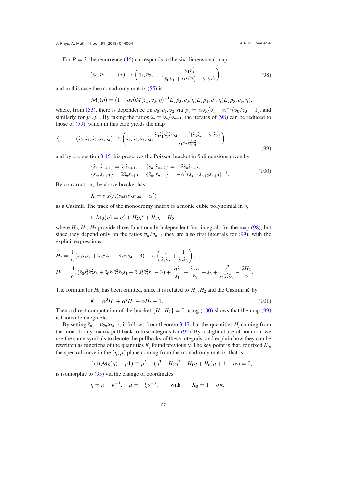For  $P = 3$ , the recurrence ([46\)](#page-16-2) corresponds to the six-dimensional map

$$
(v_0, v_1, \ldots, v_5) \mapsto \left(v_1, v_2, \ldots, \frac{v_1 v_3^2}{v_0 v_1 + \alpha^2 (v_3^2 - v_1 v_5)}\right), \tag{98}
$$

and in this case the monodromy matrix ([55\)](#page-17-4) is

$$
\mathcal{M}_5(\eta) = (1 - \alpha \eta) M(v_5, v_3, \eta)^{-1} L(p_3, v_3, \eta) L(p_4, v_4, \eta) L(p_5, v_5, \eta),
$$

where, from ([53\)](#page-17-6), there is dependence on  $v_0$ ,  $v_1$ ,  $v_2$  via  $p_3 = \alpha v_3/v_1 + \alpha^{-1}(v_0/v_3 - 1)$ , and similarly for  $p_4$ ,  $p_5$ . By taking the ratios  $\hat{s}_n = v_n/v_{n+1}$ , the iterates of [\(98](#page-27-0)) can be reduced to those of ([59\)](#page-18-0), which in this case yields the map

$$
\hat{\chi}: \qquad (\hat{s}_0, \hat{s}_1, \hat{s}_2, \hat{s}_3, \hat{s}_4) \mapsto \left( \hat{s}_1, \hat{s}_2, \hat{s}_3, \hat{s}_4, \frac{\hat{s}_0 \hat{s}_1^2 \hat{s}_2^2 \hat{s}_3 \hat{s}_4 + \alpha^2 (\hat{s}_3 \hat{s}_4 - \hat{s}_1 \hat{s}_2)}{\hat{s}_1 \hat{s}_2 \hat{s}_3^2 \hat{s}_4^2} \right),
$$
\n
$$
(99)
$$

and by proposition [3.15](#page-18-5) this preserves the Poisson bracket in 5 dimensions given by

$$
\{\hat{s}_n, \hat{s}_{n+1}\} = \hat{s}_n \hat{s}_{n+1}, \qquad \{\hat{s}_n, \hat{s}_{n+2}\} = -2\hat{s}_n \hat{s}_{n+2}, \{\hat{s}_n, \hat{s}_{n+3}\} = 2\hat{s}_n \hat{s}_{n+3}, \qquad \{\hat{s}_n, \hat{s}_{n+4}\} = -\alpha^2 (\hat{s}_{n+1} \hat{s}_{n+2} \hat{s}_{n+3})^{-1}.
$$
\n(100)

By construction, the above bracket has

$$
\bar{K} = \hat{s}_1 \hat{s}_2^2 \hat{s}_3 (\hat{s}_0 \hat{s}_1 \hat{s}_2 \hat{s}_3 \hat{s}_4 - \alpha^2)
$$

as a Casimir. The trace of the monodromy matrix is a monic cubic polynomial in *η*,

$$
\text{tr}\,\mathcal{M}_5(\eta) = \eta^3 + H_2\eta^2 + H_1\eta + H_0,
$$

where  $H_0$ ,  $H_1$ ,  $H_2$  provide three functionally independent first integrals for the map ([98\)](#page-27-0), but since they depend only on the ratios  $v_n/v_{n+1}$  they are also first integrals for [\(99](#page-27-1)), with the explicit expressions

$$
H_2 = \frac{1}{\alpha} (\hat{s}_0 \hat{s}_1 \hat{s}_2 + \hat{s}_1 \hat{s}_2 \hat{s}_3 + \hat{s}_2 \hat{s}_3 \hat{s}_4 - 3) + \alpha \left( \frac{1}{\hat{s}_1 \hat{s}_2} + \frac{1}{\hat{s}_2 \hat{s}_3} \right),
$$
  
\n
$$
H_1 = \frac{1}{\alpha^2} (\hat{s}_0 \hat{s}_1^2 \hat{s}_2^2 \hat{s}_3 + \hat{s}_0 \hat{s}_1 \hat{s}_2^2 \hat{s}_3 \hat{s}_4 + \hat{s}_1 \hat{s}_2^2 \hat{s}_3^2 \hat{s}_4 - 3) + \frac{\hat{s}_3 \hat{s}_4}{\hat{s}_1} + \frac{\hat{s}_0 \hat{s}_1}{\hat{s}_3} - \hat{s}_2 + \frac{\alpha^2}{\hat{s}_1 \hat{s}_2^2 \hat{s}_3} - \frac{2H_2}{\alpha}.
$$

The formula for  $H_0$  has been omitted, since it is related to  $H_1, H_2$  and the Casimir  $\bar{K}$  by

$$
\bar{K} = \alpha^3 H_0 + \alpha^2 H_1 + \alpha H_2 + 1.
$$
\n(101)

Then a direct computation of the bracket  $\{H_1, H_2\} = 0$  using [\(100](#page-27-2)) shows that the map ([99\)](#page-27-1) is Liouville integrable.

By setting  $\hat{s}_n = u_{2n}u_{2n+1}$ , it follows from theorem [3.17](#page-20-2) that the quantities  $H_j$  coming from the monodromy matrix pull back to first integrals for  $(92)$  $(92)$ . By a slight abuse of notation, we use the same symbols to denote the pullbacks of these integrals, and explain how they can be rewritten as functions of the quantities  $K_j$  found previously. The key point is that, for fixed  $K_0$ , the spectral curve in the  $(\eta, \mu)$  plane coming from the monodromy matrix, that is

$$
\det(\mathcal{M}_5(\eta) - \mu \mathbf{1}) \equiv \mu^2 - (\eta^3 + H_2 \eta^2 + H_1 \eta + H_0)\mu + 1 - \alpha \eta = 0,
$$

is isomorphic to [\(95](#page-26-1)) via the change of coordinates

$$
\eta = \kappa - \nu^{-1}, \quad \mu = -\xi \nu^{-3}, \quad \text{with} \quad K_0 = 1 - \alpha \kappa.
$$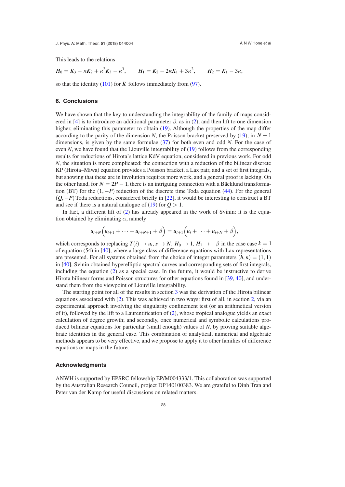This leads to the relations

$$
H_0 = K_3 - \kappa K_2 + \kappa^2 K_3 - \kappa^3, \qquad H_1 = K_2 - 2\kappa K_1 + 3\kappa^2, \qquad H_2 = K_1 - 3\kappa,
$$

so that the identity  $(101)$  $(101)$  for  $\bar{K}$  follows immediately from ([97\)](#page-26-2).

#### <span id="page-29-11"></span>**6. Conclusions**

<span id="page-29-23"></span><span id="page-29-22"></span><span id="page-29-18"></span><span id="page-29-7"></span><span id="page-29-0"></span>We have shown that the key to understanding the integrability of the family of maps consid-ered in [[4\]](#page-29-0) is to introduce an additional parameter  $\beta$ , as in ([2\)](#page-2-1), and then lift to one dimension higher, eliminating this parameter to obtain ([19\)](#page-10-1). Although the properties of the map differ according to the parity of the dimension *N*, the Poisson bracket preserved by [\(19](#page-10-1)), in  $N + 1$ dimensions, is given by the same formulae [\(37](#page-14-0)) for both even and odd *N*. For the case of even *N*, we have found that the Liouville integrability of [\(19](#page-10-1)) follows from the corresponding results for reductions of Hirota's lattice KdV equation, considered in previous work. For odd *N*, the situation is more complicated: the connection with a reduction of the bilinear discrete KP (Hirota–Miwa) equation provides a Poisson bracket, a Lax pair, and a set of irst integrals, but showing that these are in involution requires more work, and a general proof is lacking. On the other hand, for  $N = 2P - 1$ , there is an intriguing connection with a Bäcklund transformation (BT) for the (1, −*P*) reduction of the discrete time Toda equation [\(44](#page-16-0)). For the general (*Q*, −*P*) Toda reductions, considered briely in [[22\]](#page-29-3), it would be interesting to construct a BT and see if there is a natural analogue of  $(19)$  $(19)$  for  $Q > 1$ .

<span id="page-29-19"></span><span id="page-29-10"></span><span id="page-29-9"></span><span id="page-29-4"></span>In fact, a different lift of ([2\)](#page-2-1) has already appeared in the work of Svinin: it is the equation obtained by eliminating *α*, namely

<span id="page-29-17"></span><span id="page-29-16"></span><span id="page-29-12"></span><span id="page-29-6"></span>
$$
u_{i+N}(u_{i+1} + \cdots + u_{i+N+1} + \beta) = u_{i+1}(u_i + \cdots + u_{i+N} + \beta),
$$

<span id="page-29-24"></span><span id="page-29-1"></span>which corresponds to replacing  $T(i) \rightarrow u_i$ ,  $s \rightarrow N$ ,  $H_0 \rightarrow 1$ ,  $H_1 \rightarrow -\beta$  in the case case  $k = 1$ of equation (54) in [\[40](#page-30-5)], where a large class of difference equations with Lax representations are presented. For all systems obtained from the choice of integer parameters  $(h, n) = (1, 1)$ in [[40\]](#page-30-5), Svinin obtained hyperelliptic spectral curves and corresponding sets of irst integrals, including the equation [\(2](#page-2-1)) as a special case. In the future, it would be instructive to derive Hirota bilinear forms and Poisson structures for other equations found in [[39,](#page-30-4) [40\]](#page-30-5), and understand them from the viewpoint of Liouville integrability.

<span id="page-29-21"></span><span id="page-29-20"></span><span id="page-29-15"></span><span id="page-29-5"></span><span id="page-29-2"></span>The starting point for all of the results in section [3](#page-10-0) was the derivation of the Hirota bilinear equations associated with [\(2](#page-2-1)). This was achieved in two ways: first of all, in section [2,](#page-4-0) via an experimental approach involving the singularity coninement test (or an arithmetical version of it), followed by the lift to a Laurentification of  $(2)$  $(2)$ , whose tropical analogue yields an exact calculation of degree growth; and secondly, once numerical and symbolic calculations produced bilinear equations for particular (small enough) values of *N*, by proving suitable algebraic identities in the general case. This combination of analytical, numerical and algebraic methods appears to be very effective, and we propose to apply it to other families of difference equations or maps in the future.

#### <span id="page-29-14"></span><span id="page-29-13"></span><span id="page-29-8"></span><span id="page-29-3"></span>**Acknowledgments**

<span id="page-29-25"></span>ANWH is supported by EPSRC fellowship EP/M004333/1. This collaboration was supported by the Australian Research Council, project DP140100383. We are grateful to Dinh Tran and Peter van der Kamp for useful discussions on related matters.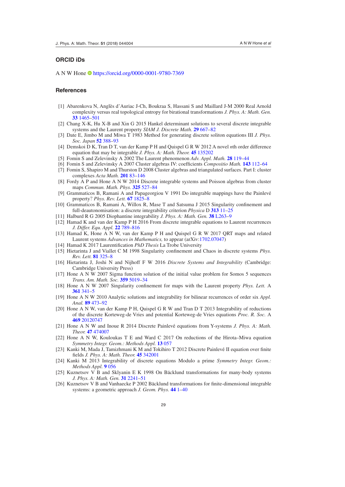#### <span id="page-30-14"></span><span id="page-30-1"></span>**ORCID iDs**

<span id="page-30-8"></span>A N W Hone<https://orcid.org/0000-0001-9780-7369>

#### <span id="page-30-10"></span>**References**

- <span id="page-30-9"></span><span id="page-30-6"></span>[1] Abarenkova N, Anglès d'Auriac J-Ch, Boukraa S, Hassani S and Maillard J-M 2000 Real Arnold complexity versus real topological entropy for birational transformations *J. Phys. A: Math. Gen.* **[33](https://doi.org/10.1088/0305-4470/33/8/301)** [1465](https://doi.org/10.1088/0305-4470/33/8/301)–[501](https://doi.org/10.1088/0305-4470/33/8/301)
- <span id="page-30-13"></span>[2] Chang X-K, Hu X-B and Xin G 2015 Hankel determinant solutions to several discrete integrable systems and the Laurent property *SIAM J. Discrete Math.* **[29](https://doi.org/10.1137/130911676)** [667](https://doi.org/10.1137/130911676)–[82](https://doi.org/10.1137/130911676)
- <span id="page-30-3"></span>[3] Date E, Jimbo M and Miwa T 1983 Method for generating discrete soliton equations III *J. Phys. Soc. Japan* **[52](https://doi.org/10.1143/JPSJ.52.388)** [388](https://doi.org/10.1143/JPSJ.52.388)–[93](https://doi.org/10.1143/JPSJ.52.388)
- <span id="page-30-7"></span>[4] Demskoi D K, Tran D T, van der Kamp P H and Quispel G R W 2012 A novel *n*th order difference equation that may be integrable *J. Phys. A: Math. Theor.* **[45](https://doi.org/10.1088/1751-8113/45/13/135202)** [135202](https://doi.org/10.1088/1751-8113/45/13/135202)
- <span id="page-30-12"></span>[5] Fomin S and Zelevinsky A 2002 The Laurent phenomenon *Adv. Appl. Math.* **[28](https://doi.org/10.1006/aama.2001.0770)** [119](https://doi.org/10.1006/aama.2001.0770)–[44](https://doi.org/10.1006/aama.2001.0770)
- <span id="page-30-15"></span>[6] Fomin S and Zelevinsky A 2007 Cluster algebras IV: coeficients *Compositio Math.* **[143](https://doi.org/10.1112/S0010437X06002521)** [112](https://doi.org/10.1112/S0010437X06002521)–[64](https://doi.org/10.1112/S0010437X06002521)
- <span id="page-30-16"></span>[7] Fomin S, Shapiro M and Thurston D 2008 Cluster algebras and triangulated surfaces. Part I: cluster complexes *Acta Math.* **[201](https://doi.org/10.1007/s11511-008-0030-7)** [83](https://doi.org/10.1007/s11511-008-0030-7)–[146](https://doi.org/10.1007/s11511-008-0030-7)
- <span id="page-30-4"></span>[8] Fordy A P and Hone A N W 2014 Discrete integrable systems and Poisson algebras from cluster maps *Commun. Math. Phys.* **[325](https://doi.org/10.1007/s00220-013-1867-y)** [527](https://doi.org/10.1007/s00220-013-1867-y)–[84](https://doi.org/10.1007/s00220-013-1867-y)
- <span id="page-30-5"></span>[9] Grammaticos B, Ramani A and Papageorgiou V 1991 Do integrable mappings have the Painlevé property? *Phys. Rev. Lett.* **[67](https://doi.org/10.1103/PhysRevLett.67.1825)** [1825](https://doi.org/10.1103/PhysRevLett.67.1825)–[8](https://doi.org/10.1103/PhysRevLett.67.1825)
- <span id="page-30-2"></span>[10] Grammaticos B, Ramani A, Willox R, Mase T and Satsuma J 2015 Singularity coninement and full-deautonomisation: a discrete integrability criterion *Physica* D **[313](https://doi.org/10.1016/j.physd.2015.09.006)** [11](https://doi.org/10.1016/j.physd.2015.09.006)–[25](https://doi.org/10.1016/j.physd.2015.09.006)
- <span id="page-30-11"></span>[11] Halburd R G 2005 Diophantine integrability *J. Phys. A: Math. Gen.* **[38](https://doi.org/10.1088/0305-4470/38/16/L01)** [L263](https://doi.org/10.1088/0305-4470/38/16/L01)–[9](https://doi.org/10.1088/0305-4470/38/16/L01)
- <span id="page-30-0"></span>[12] Hamad K and van der Kamp P H 2016 From discrete integrable equations to Laurent recurrences *J. Differ. Equ. Appl.* **[22](https://doi.org/10.1080/10236198.2016.1142980)** [789](https://doi.org/10.1080/10236198.2016.1142980)–[816](https://doi.org/10.1080/10236198.2016.1142980)
- [13] Hamad K, Hone A N W, van der Kamp P H and Quispel G R W 2017 QRT maps and related Laurent systems *Advances in Mathematics,* to appear (arXiv[:1702.07047](http://arxiv.org/abs/1702.07047))
- [14] Hamad K 2017 Laurentification *PhD Thesis* La Trobe University
- [15] Hietarinta J and Viallet C M 1998 Singularity coninement and Chaos in discrete systems *Phys. Rev. Lett.* **[81](https://doi.org/10.1103/PhysRevLett.81.325)** [325](https://doi.org/10.1103/PhysRevLett.81.325)–[8](https://doi.org/10.1103/PhysRevLett.81.325)
- [16] Hietarinta J, Joshi N and Nijhoff F W 2016 *Discrete Systems and Integrability* (Cambridge: Cambridge University Press)
- [17] Hone A N W 2007 Sigma function solution of the initial value problem for Somos 5 sequences *Trans. Am. Math. Soc.* **[359](https://doi.org/10.1090/S0002-9947-07-04215-8)** [5019](https://doi.org/10.1090/S0002-9947-07-04215-8)–[34](https://doi.org/10.1090/S0002-9947-07-04215-8)
- [18] Hone A N W 2007 Singularity coninement for maps with the Laurent property *Phys. Lett.* A **[361](https://doi.org/10.1016/j.physleta.2006.09.078)** [341](https://doi.org/10.1016/j.physleta.2006.09.078)–[5](https://doi.org/10.1016/j.physleta.2006.09.078)
- [19] Hone A N W 2010 Analytic solutions and integrability for bilinear recurrences of order six *Appl. Anal.* **[89](https://doi.org/10.1080/00036810903329977)** [473](https://doi.org/10.1080/00036810903329977)–[92](https://doi.org/10.1080/00036810903329977)
- [20] Hone A N W, van der Kamp P H, Quispel G R W and Tran D T 2013 Integrability of reductions of the discrete Korteweg-de Vries and potential Korteweg-de Vries equations *Proc. R. Soc.* A **[469](https://doi.org/10.1098/rspa.2012.0747)** [20120747](https://doi.org/10.1098/rspa.2012.0747)
- [21] Hone A N W and Inoue R 2014 Discrete Painlevé equations from Y-systems *J. Phys. A: Math. Theor.* **[47](https://doi.org/10.1088/1751-8113/47/47/474007)** [474007](https://doi.org/10.1088/1751-8113/47/47/474007)
- [22] Hone A N W, Kouloukas T E and Ward C 2017 On reductions of the Hirota–Miwa equation *Symmetry Integr. Geom.: Methods Appl.* **[13](https://doi.org/10.3842/SIGMA.2017.057)** [057](https://doi.org/10.3842/SIGMA.2017.057)
- [23] Kanki M, Mada J, Tamizhmani K M and Tokihiro T 2012 Discrete Painlevé II equation over inite ields *J. Phys. A: Math. Theor.* **[45](https://doi.org/10.1088/1751-8113/45/34/342001)** [342001](https://doi.org/10.1088/1751-8113/45/34/342001)
- [24] Kanki M 2013 Integrability of discrete equations Modulo a prime *Symmetry Integr. Geom.: Methods Appl.* **[9](https://doi.org/10.3842/SIGMA.2013.056)** [056](https://doi.org/10.3842/SIGMA.2013.056)
- [25] Kuznetsov V B and Sklyanin E K 1998 On Bäcklund transformations for many-body systems *J. Phys. A: Math. Gen.* **[31](https://doi.org/10.1088/0305-4470/31/9/012)** [2241](https://doi.org/10.1088/0305-4470/31/9/012)–[51](https://doi.org/10.1088/0305-4470/31/9/012)
- [26] Kuznetsov V B and Vanhaecke P 2002 Bäcklund transformations for inite-dimensional integrable systems: a geometric approach *J. Geom. Phys.* **[44](https://doi.org/10.1016/S0393-0440(02)00029-3)** [1](https://doi.org/10.1016/S0393-0440(02)00029-3)–[40](https://doi.org/10.1016/S0393-0440(02)00029-3)